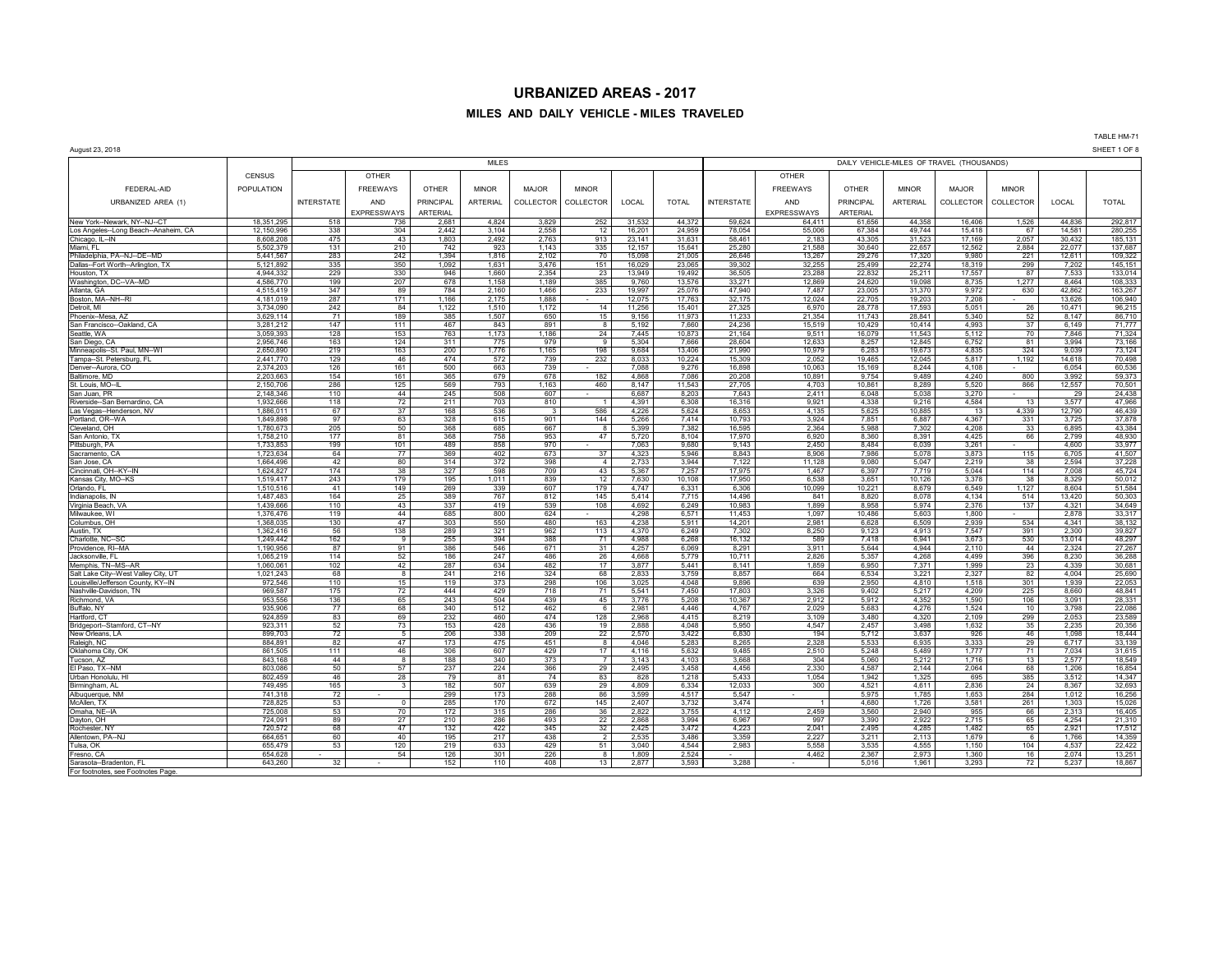#### **MILES AND DAILY VEHICLE - MILES TRAVELED**

| August 23, 2018 |  |
|-----------------|--|

For footnotes, see Footnotes Pag

August 23, 2018 SHEET 1 OF 8 MILES DAILY VEHICLE-MILES OF TRAVEL (THOUSANDS) CENSUS | | OTHER | | | | | | | | | | OTHER FEDERAL-AID POPULATION FREEWAYS OTHER MINOR MAJOR MINOR FREEWAYS OTHER MINOR MAJOR MINOR URBANIZED AREA (1) | INTERSTATE | AND | PRINCIPAL | ARTERIAL | COLLECTOR | COLLECTOR | COLLECTOL INTERSTATE | AND | PRINCIPAL | ARTERIAL | COLLECTOR | COLLECTOR | LOCAL | TOTAL EXPRESSWAYS ARTERIAL **1.824** 1.824 3.829 252 31.532 44.372 59.624 54.411 61.65 New York--Newark, NY--NJ--CT 18,351,295 | 518 | 736 | 2,681 | 4,824 | 3,829 | 252 | 31,532 | 44,372 || 59,624 | 64,411 | 61,656 | 44,358 | 16,406 | 1,526 | 44,836 | 292,817 Los Angeles-Long Beach--Anaheim, CA 12,150,996 3388 3044 2,2458 2,3004 2,558 912 16,201 2,384 49,2025 30,2006 67,384 35,006 67,3944 15,481 280,2557 30,432 280,255<br>Chicago. IL⊸IN - 1,560,2005 475 43 1,803 2,492 2,763 913 2 Chicago, IL--IN 8,608,208 | 475 | 43 | 1,803 | 2,492 | 2,763 | 913 | 23,141 | 31,631 | 58,461 | 2,183 | 43,305 | 31,523 | 17,169 | 2,057 | 30,432 | 185,131 Miami, FL 5,502,379 131 210 742 923 1,143 335 12,157 15,641 25,280 21,588 30,640 22,657 12,562 2,884 22,077 137,687 Philadelphia, PA--NJ--DE--MD 5,441,567 | 283 | 242 | 1,394 | 1,816 | 70 | 15,098 | 26,046 | 13,267 | 29,76 | 17,320 | 9,980 | 221 | 12,611 | 109,322 Dallas--Fort Worth--Arlington, TX | 5,121,892 | 335 | 350 | 1,092 | 1,631 | 3,476 | 16,029 | 23,065 | 39,002 | 32,255 | 25,499 | 22,274 | 18,319 | 299 | 7,202 | 145,151 Houston, TX 4,944,332 | 229 | 330 | 946 | 1,660 | 23 | 13,949 | 13,949 | 13,959 | 23,288 | 22,832 | 25,211 | 17,557 | 87 | 7,533 | 133,014 Washington, DC--VA--MD 4,586,770 | 199 | 207 | 678 | 1,158 | 1,189 | 385 | 9,760 | 13,576 | 3,371 | 1,2,869 | 24,620 | 19,098 | 8,735 | 1,277 | 8,464 | 108,333 Atlanta, GA 4,515,419 347 | 89 | 784 | 2,160 | 1,466 | 233 | 19,997 | 25,076 | 47,940 | 7,487 | 23,005 | 31,370 | 9,972 | 630 | 42,862 | 163,267 Boston, MA--NH--RI 4,181,019 | 287 | 171 | 1,166 | 2,175 | 12,075 | 17,763 | 32,175 | 12,024 | 22,705 | 19,203 | 7,208 | - | 13,626 | 106,940 Detroit, MI 3,734,090 242 84 1,122 1,510 1,172 14 11,256 15,401 27,325 6,970 28,778 17,593 5,051 26 10,471 96,215 Phoenix--Mesa, AZ 3,629,114 | 71 | 189 | 385 | 1,507 | 650 | 15 | 9,156 | 11,973 | 11,233 | 21,354 | 11,743 | 28,841 | 5,340 | 52 | 8,147 | 86,710 San Francisco--Oakland, CA 3,281,212 147 111 467 843 891 8 5,192 7,660 24,236 15,519 10,429 10,414 4,993 37 6,149 71,777 Seattle, WA 3,059,393 128 153 763 1,173 1,186 24 7,445 10,873 21,164 9,511 16,079 11,543 5,112 70 7,846 71,324 San Diego, CA 2,956,746 163 124 311 775 979 9 5,304 7,666 28,604 28,604 8,257 12,845 6,752 81 3,994 73,166 8,152 Minneapolis--St. Paul, MN--WI 2,650,890 | 219 | 163 | 200 | 1,165 | 19,884 13,406 | 21,990 | 10,979 | 6,283 | 19,673 | 4,835 | 324 | 9,039 | 73,124 Tampa--St. Petersburg, FL 2,441,770 129 46 474 572 739 232 8,033 10,224 15,309 2,052 19,465 12,045 5,817 1,192 14,618 70,498 Denver--Aurora, CO 2,374,203 | 2,374,203 | 126 | 161 500 663 739 - 7,088 9,276 16,898 16,089 10,063 15,169 8,244 4,108 - 60,54 60,536 Baltimore, MD 2,203,663 | 154 | 161 | 365 | 679 | 678 | 182 | 4,868 | 7,086 | 20,208 | 10,891 | 9,754 | 9,489 | 4,240 | 800 | 3,992 | 59,373 St. Louis, MO--IL 2,150,706 286 125 569 793 1,163 460 8,147 11,543 27,705 4,703 10,861 8,289 5,520 866 12,557 70,501 San Juan, PR 2,148,346 | 110 | 44 | 245 | 508 | 607 | - | 6,087 | 3,243 | 2,411 | 6,048 | 5,038 | 3,270 | - | 29 | 24,438 Riverside--San Bernardino, CA | 1,932,666 118 72 211 703 810 1 4,391 6,308 16,316 9,921 4,338 9,216 4,584 13 3,577 47,966 Las Vegas--Henderson, NV 1,886,011 67 | 37 | 168 | 536 | 3 | 5,826 | 5,625 | 5,625 | 1,0,885 | 13 | 4,339 | 12,790 | 46,439 Portland, OR--WA 1,849,898 | 97 | 63 | 328 | 615 | 901 | 144 | 5,266 | 7,414 || 10,793 | 3,924 | 7,851 | 6,887 | 4,367 | 331 | 3,725 | 37,878 Cleveland, OH 1,780,673 | 205 | 50 368 685 685 67 8 5,399 7,382 16,595 2,364 5,988 7,302 4,208 33 6,895 43,384 San Antonio, TX 1,758,210 | 177 | 81 368 758 953 47 5,720 8,104 17,970 6,920 8,360 8,361 4,425 66 2,799 48,930 Pittsburgh, PA 1,733,853 | 199 | 101 | 489 | 858 | 970 - | 7,063 | 9,680 | 9,143 | 2,450 | 8,484 6,039 3,261 - | 4,600 33,977 Sacramento, CA 1,723,634 64 77 369 402 673 37 4,323 5,946 8,843 8,906 7,986 5,078 3,873 115 6,705 41,507 San Jose, CA 1,664,496 42 80 314 372 398 4 2,733 3,944 7,122 11,128 9,080 5,047 2,219 38 2,594 37,228 Cincinnati, OH--KY--IN 1,624,827 | 174 | 38 327 598 709 43 5,367 7,257 17,975 1,467 6,397 7,719 5,044 114 7,008 45,724 Kansas City, MO--KS 1,519,417 | 243 | 179 | 195 | 1,011 | 839 | 1,2 | 7,630 | 10,108 | 17,950 | 6,538 | 3,651 | 10,126 | 3,378 | 8 | 8,329 | 50,012 Orlando, FL 1,510,516 41 149 269 339 607 179 4,747 6,331 6,306 10,099 10,221 8,679 6,549 1,127 8,604 51,584 Indianapolis, IN 1,487,483 | 164 | 25 389 767 812 145 5,414 7,715 14,496 841 8,820 8,078 4,134 514 13,420 50,303 Virginia Beach, VA 1,439,666 10,439,666 110 43 337 419 539 108 4,692 6,249 10,983 1,899 8,958 5,974 2,376 137 4,321 34,649 1,899 8,958 1,5974 2,376 137 4,321 34,649 Milwaukee, WI 1,376,476 | 119 | 44 | 685 | 800 | 624 | | 4,298 | 6,571 || 11,453 | 1,097 | 10,486 | 5,603 | 1,800 | - | 2,878 | 33,317 Columbus, OH 1,368,035 | 130 | 47 | 303 | 550 | 480 | 163 | 4,238 | 5,911 || 14,201 | 2,981 | 6,628 | 6,509 | 2,939 | 534 | 4,341 | 38,132 Austin, TX 1,362,416 | 56 | 138 | 289 | 321 | 962 | 113 | 4,370 | 6,249 || 7,302 | 8,250 | 9,123 | 4,913 | 7,547 | 391 | 2,300 | 39,827 Charlotte, NC--SC 1,249,442 | 162 | 9 | 255 | 394 | 388 | 71 | 4,988 | 6,268 | 16,132 | 589 | 7,418 | 6,941 | 3,673 | 530 | 13,014 | 48,297 Providence, RI--MA 1,190,956 87 91 386 546 671 31 4,257 6,069 8,291 3,911 5,644 4,944 2,110 44 2,324 27,267 Jacksonville, FL 1,065,219 114 52 186 247 486 26 4,668 5,779 10,711 2,826 5,357 4,268 4,499 396 8,230 36,288 Memphis, TN--MS--AR 1,060,061 | 102 | 42 | 287 | 634 | 482 | 17 | 3,877 | 5,441 | 1,859 | 6,950 | 7,371 | 1,999 | 23 | 4,339 | 30,681 Salt Lake City--West Valley City, UT 1,021,243 | 68 8 | 216 | 216 | 324 | 68 | 2,833 | 3,759 | 8,857 | 664 | 6,534 | 3,221 | 2,327 | 82 | 4,004 | 25,690 Louisville/Jefferson County, KY--IN 972,546 110 15 119 373 298 106 3,025 4,048 9,896 639 2,950 4,810 1,518 301 1,939 22,053 Nashville-Davidson, TN 969,587 175 72 444 429 718 71 5,541 7,450 17,803 3,326 9,402 5,217 4,209 225 8,660 48,841 Richmond, VA 953,556 | 136 | 65 | 243 | 549 | 45 | 3,776 | 5,208 | 10,367 | 2,912 | 5,912 | 4,352 | 1,590 | 106 | 3,091 | 28,331 Buffalo, NY 935,906 | 77 | 68 | 340 | 512 | 462 | 6 | 2,981 | 4,446 || 4,767 | 2,029 | 5,683 | 4,276 | 1,524 | 10 | 3,798 | 22,086 Hartford, CT 924,859 | 83 | 69 | 232 | 460 | 474 | 128 | 2,868 | 4,415 || 8,219 | 3,109 | 3,480 | 4,320 | 2,109 | 299 | 2,053 | 23,589 Bridgeport--Stamford, CT--NY 923,311 52 | 73 | 153 | 428 | 436 | 19 | 2,888 | 4,048 | 5,950 | 4,547 | 2,457 | 3,498 | 1,632 | 35 | 2,235 | 20,356 New Orleans, LA 899,703 | 72 | 5 | 206 | 338 | 209 | 22 | 2,570 | 3,422 || 6,830 | 194 | 5,712 | 3,637 | 926 | 46 | 1,098 | 18,444 | 1,098 | 18,444 | 1,098 | 18,444 | 1,098 | 18,444 | 1,098 | 18,444 | 1,098 | 18,444 | 1,09 Raleigh, NC 884,891 | 82 | 47 | 173 | 475 | 451 | 8 | 4,046 | 5,283 || 8,265 | 2,328 | 5,533 | 5,935 | 3,333 | 29 | 6,717 | 33,139 Oklahoma City, OK 861,505 | 111 | 46 | 306 | 607 | 429 | 17 | 4,116 | 5,632 || 9,485 | 2,510 | 5,248 | 5,489 | 1,777 | 71 | 7,034 | 31,615 Tucson, AZ 843,168 | 44 | 8 | 188 | 373 | 7 | 3,143 | 4,103 || 3,668 | 304 | 5,060 | 5,212 | 1,716 | 13 | 2,577 | 18,549 ElPaso, TX--NM 803,086 | 50 57 | 237 | 224 | 366 29 2,495 3,458 4,456 2,330 4,587 2,144 2,064 68 1,206 16,854 Urban Honolulu, HI 802,459 46 28 79 81 74 83 828 1,218 5,433 1,054 1,942 1,325 695 385 3,512 14,347 Birmingham, AL 749,495 | 165 | 3 | 182 | 507 | 639 | 29 | 4,809 | 6,334 | 12,033 | 300 | 4,521 | 4,611 | 2,836 | 24 | 8,367 | 32,693 Albuquerque, NM 741,318 | 72 | 173 | 288 | 86 | 3,599 | 4,517 | 5,975 | 1,785 | 1,785 | 1,653 | 284 | 1,012 | 16,256 McAllen, TX 728,825 | 53 | 0 | 285 | 170 | 672 | 145 | 2,407 | 3,732 || 3,474 | 1 | 4,680 | 1,726 | 3,581 | 261 | 1,303 | 15,026 Omaha, NE--IA 72,008 | 53 | 70 | 172 | 315 | 286 | 2,822 | 3,755 | 4,112 | 2,459 | 3,560 | 2,940 | 955 | 66 | 2,313 | 16,405 Dayton, OH 724,091 | 89 | 27 | 210 | 286 | 493 | 2.2 | 2,868 2,994 || 6,967 | 997 | 3,390 | 2,922 | 2,715 | 65 | 4,254 | 21,310 Rochester, NY 720,572 | 68 | 47 | 132 | 422 | 32 | 2,425 | 4,223 | 2,041 | 2,495 | 4,285 | 1,482 | 65 | 2,921 | 17,512 Allentown, PA--NJ 664,651 | 60 | 40 | 195 | 217 | 438 | 2 | 2,535 | 3,486 || 3,359 | 2,227 | 3,211 | 2,113 | 1,679 | 6 | 1,766 | 14,359 Tulsa, OK 655,479 | 53 | 120 | 219 | 633 | 53 | 3,540 | 4,544 | 2,983 | 5,558 | 3,535 | 4,555 | 1,150 | 104 | 4,537 | 22,422 Fresno, CA 654,628 | - 54 | 126 | 301 | 226 | 8 | 1,809 | 2,524 | 4,462 | 2,367 | 2,367 | 2,373 | 1,360 | 16 | 2,074 | 13,251 Sarasota--Bradenton, FL 643,260 | 32 | 152 | 110 | 408 | 13 | 2,877 | 3,593 || 3,288 | 5,016 | 1,961 | 3,293 | 72 | 5,237 | 18,867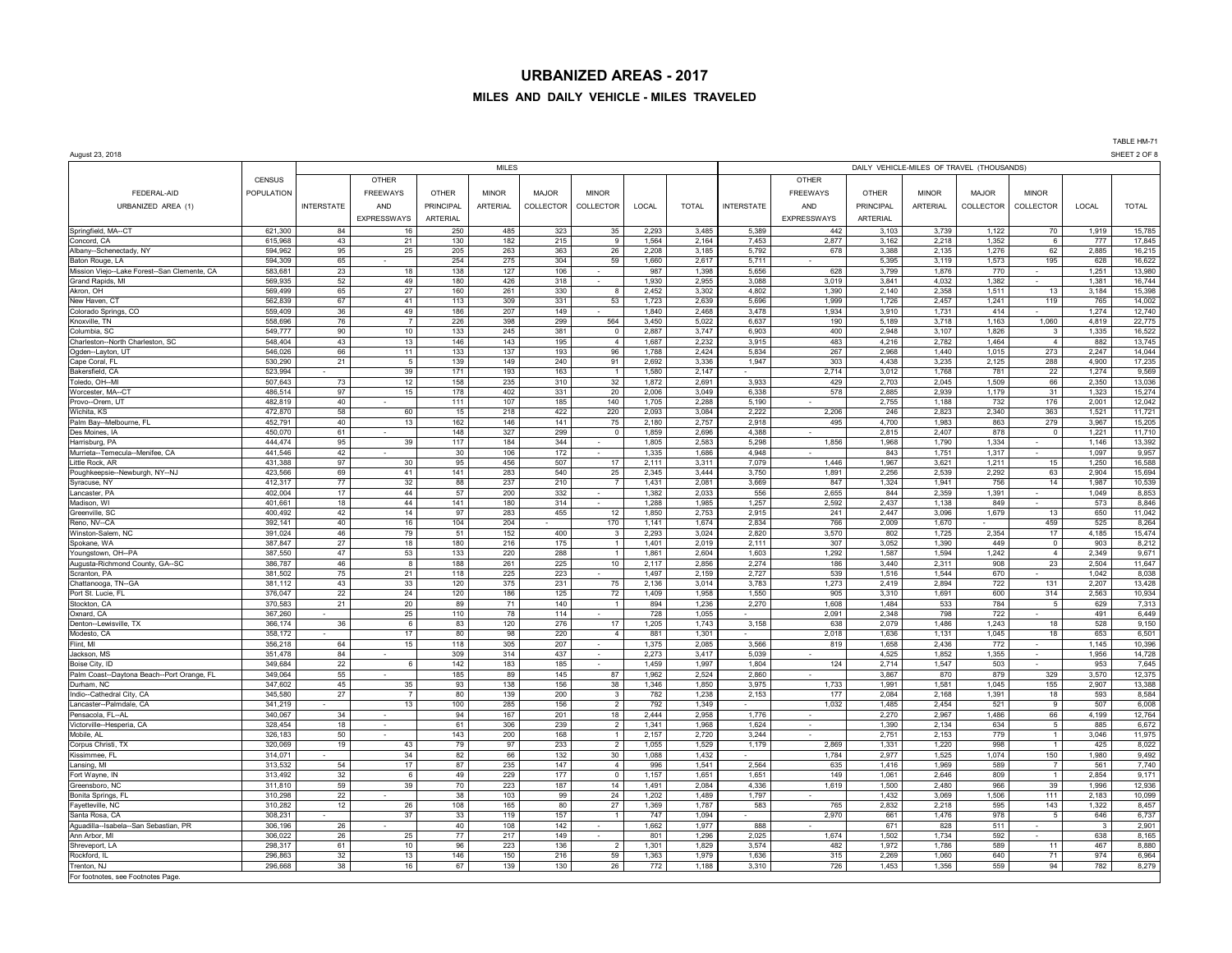## **MILES AND DAILY VEHICLE - MILES TRAVELED**

TABLE HM-71<br>SHEET 2 OF 8

| August 23, 2018                                  |                    |                   |                 |                 |                 |              |                                  |                |                |                   |                 |                  |                 |                                           |                     |                | SHEET 2 OF       |
|--------------------------------------------------|--------------------|-------------------|-----------------|-----------------|-----------------|--------------|----------------------------------|----------------|----------------|-------------------|-----------------|------------------|-----------------|-------------------------------------------|---------------------|----------------|------------------|
|                                                  |                    |                   |                 |                 | <b>MILES</b>    |              |                                  |                |                |                   |                 |                  |                 | DAILY VEHICLE-MILES OF TRAVEL (THOUSANDS) |                     |                |                  |
|                                                  | <b>CENSUS</b>      |                   | OTHER           |                 |                 |              |                                  |                |                |                   | OTHER           |                  |                 |                                           |                     |                |                  |
| FEDERAL-AID                                      | POPULATION         |                   | <b>FREEWAYS</b> | <b>OTHER</b>    | <b>MINOR</b>    | <b>MAJOR</b> | <b>MINOR</b>                     |                |                |                   | <b>FREEWAYS</b> | OTHER            | <b>MINOR</b>    | <b>MAJOR</b>                              | <b>MINOR</b>        |                |                  |
|                                                  |                    |                   |                 |                 |                 |              |                                  |                |                |                   |                 |                  |                 |                                           |                     |                |                  |
| URBANIZED AREA (1)                               |                    | <b>INTERSTATE</b> | AND             | PRINCIPAL       | <b>ARTERIAL</b> | COLLECTOR    | COLLECTOR                        | LOCAL          | <b>TOTAL</b>   | <b>INTERSTATE</b> | AND             | <b>PRINCIPAL</b> | <b>ARTERIAL</b> | COLLECTOR                                 | COLLECTOR           | LOCAL          | <b>TOTAL</b>     |
|                                                  |                    |                   | EXPRESSWAYS     | <b>ARTERIAL</b> |                 |              |                                  |                |                |                   | EXPRESSWAYS     | ARTERIAL         |                 |                                           |                     |                |                  |
| Springfield, MA--CT                              | 621.300            | 84                | 16              | 250             | 485             | 323          | 35                               | 2.293          | 3.485          | 5.389             | 442             | 3,103            | 3.739           | 1,122                                     | 70                  | 1.919          | 15,785           |
| Concord, CA                                      | 615.968            | 43                | 21              | 130             | 182             | 215          | 9                                | 1.564          | 2,164          | 7.453             | 2,877           | 3,162            | 2,218           | 1,352                                     | 6                   | 777            | 17,845           |
| Albany--Schenectady, NY                          | 594,962            | 95                | 25              | 205             | 263             | 363          | 26                               | 2,208          | 3,185          | 5,792             | 678             | 3,388            | 2,135           | 1,276                                     | 62                  | 2,885          | 16,215           |
| Baton Rouge, LA                                  | 594,309            | 65                |                 | 254             | 275             | 304          | 59                               | 1,660          | 2,617          | 5,711             |                 | 5,395            | 3,119           | 1,573                                     | 195                 | 628            | 16,622           |
| Mission Viejo--Lake Forest--San Clemente, CA     | 583,681            | 23                | 18              | 138             | 127             | 106          | $\sim$                           | 987            | 1,398          | 5.656             | 628             | 3,799            | 1,876           | 770                                       |                     | 1,251          | 13,980           |
| Grand Rapids, MI                                 | 569,935            | 52                | 49              | 180             | 426             | 318          |                                  | 1,930          | 2,955          | 3,088             | 3,019           | 3,841            | 4,032           | 1,382                                     |                     | 1,381          | 16,744           |
| Akron, OH                                        | 569,499            | 65                | 27              | 160             | 261             | 330          | $\mathbf{g}$                     | 2,452          | 3,302          | 4,802             | 1,390           | 2,140            | 2,358           | 1,511                                     | 13                  | 3,184          | 15,398           |
| New Haven, CT                                    | 562,839            | 67                | 41              | 113             | 309             | 331          | 53                               | 1,723          | 2,639          | 5.696             | 1.999           | 1,726            | 2,457           | 1,241                                     | 119                 | 765            | 14,002           |
| Colorado Springs, CO                             | 559,409            | 36                | 49              | 186             | 207             | 149          |                                  | 1,840          | 2,468          | 3,478             | 1,934           | 3,910            | 1,731           | 414                                       | 1,060               | 1,274          | 12,740           |
| Knoxville, TN                                    | 558,696            | 76                | $\overline{7}$  | 226             | 398             | 299          | 564                              | 3,450          | 5,022          | 6,637             | 190             | 5,189            | 3,718           | 1,163                                     |                     | 4,819          | 22,775           |
| Columbia, SC<br>Charleston--North Charleston, SC | 549,777<br>548,404 | 90<br>43          | 10<br>13        | 133<br>146      | 245<br>143      | 381<br>195   | $\overline{0}$<br>$\overline{4}$ | 2,887<br>1,687 | 3,747<br>2,232 | 6,903<br>3,915    | 400<br>483      | 2,948<br>4,216   | 3,107<br>2,782  | 1,826<br>1.464                            | 3<br>$\overline{4}$ | 1,335<br>882   | 16,522<br>13,745 |
| Ogden--Layton, UT                                | 546,026            | 66                | 11              | 133             | 137             | 193          | 96                               | 1,788          | 2,424          | 5,834             | 267             | 2,968            | 1,440           | 1,015                                     | 273                 | 2,247          | 14,044           |
| Cape Coral, FL                                   | 530,290            | 21                | 5               | 139             | 149             | 240          | 91                               | 2,692          | 3,336          | 1,947             | 303             | 4.438            | 3,235           | 2,125                                     | 288                 | 4.900          | 17,235           |
| Bakersfield, CA                                  | 523.994            |                   | 39              | 171             | 193             | 163          | $\overline{1}$                   | 1.580          | 2.147          |                   | 2.714           | 3.012            | 1.768           | 781                                       | 22                  | 1.274          | 9,569            |
| Toledo, OH--MI                                   | 507,643            | 73                | 12              | 158             | 235             | 310          | 32                               | 1,872          | 2,691          | 3,933             | 429             | 2,703            | 2.045           | 1,509                                     | 66                  | 2,350          | 13,036           |
| Worcester, MA--CT                                | 486,514            | 97                | 15              | 178             | 402             | 331          | 20                               | 2,006          | 3,049          | 6,338             | 578             | 2,885            | 2,939           | 1,179                                     | 31                  | 1,323          | 15,274           |
| Provo--Orem, UT                                  | 482,819            | 40                |                 | 111             | 107             | 185          | 140                              | 1,705          | 2,288          | 5,190             |                 | 2,755            | 1,188           | 732                                       | 176                 | 2,001          | 12,042           |
| Wichita, KS                                      | 472,870            | 58                | 60              | 15              | 218             | 422          | 220                              | 2,093          | 3,084          | 2,222             | 2,206           | 246              | 2.823           | 2,340                                     | 363                 | 1,521          | 11,721           |
| Palm Bay--Melbourne, FL                          | 452,791            | 40                | 13              | 162             | 146             | 141          | 75                               | 2,180          | 2,757          | 2,918             | 495             | 4,700            | 1,983           | 863                                       | 279                 | 3,967          | 15,205           |
| Des Moines, IA                                   | 450,070            | 61                |                 | 148             | 327             | 299          | $\mathbf 0$                      | 1,859          | 2,696          | 4,388             |                 | 2,815            | 2,407           | 878                                       | $\Omega$            | 1,221          | 11,710           |
| Harrisburg, PA                                   | 444,474            | 95                | 39              | 117             | 184             | 344          |                                  | 1.805          | 2.583          | 5,298             | 1.856           | 1.968            | 1,790           | 1.334                                     |                     | 1.146          | 13,392           |
| Murrieta--Temecula--Menifee, CA                  | 441,546            | 42                |                 | 30              | 106             | 172          |                                  | 1,335          | 1,686          | 4.948             |                 | 843              | 1,751           | 1,317                                     |                     | 1,097          | 9,957            |
| Little Rock, AR                                  | 431,388            | 97                | 30              | 95              | 456             | 507          | 17                               | 2,111          | 3,311          | 7,079             | 1,446           | 1,967            | 3,621           | 1,211                                     | 15                  | 1,250          | 16,588           |
| Poughkeepsie--Newburgh, NY--NJ                   | 423,566            | 69                | 41              | 141             | 283             | 540          | 25                               | 2,345          | 3,444          | 3,750             | 1,891           | 2,256            | 2,539           | 2,292                                     | 63                  | 2,904          | 15,694           |
| Syracuse, NY                                     | 412,317            | 77                | 32              | 88              | 237             | 210          | $\overline{7}$                   | 1.431          | 2.081          | 3.669             | 847             | 1,324            | 1.941           | 756                                       | 14                  | 1,987          | 10,539           |
| Lancaster, PA                                    | 402,004            | 17                | 44              | 57              | 200             | 332          |                                  | 1.382          | 2,033          | 556               | 2,655           | 844              | 2,359           | 1,391                                     |                     | 1,049          | 8,853            |
| Madison, WI                                      | 401,661            | 18                | 44              | 141             | 180             | 314          |                                  | 1,288          | 1,985          | 1,257             | 2,592           | 2,437            | 1,138           | 849                                       |                     | 573            | 8,846            |
| Greenville, SC                                   | 400.492            | 42                | 14              | 97              | 283             | 455          | 12                               | 1.850          | 2.753          | 2.915             | 241             | 2.447            | 3.096           | 1.679                                     | 13                  | 650            | 11,042           |
| Reno, NV--CA                                     | 392.141            | 40                | 16              | 104             | 204             |              | 170                              | 1.141          | 1,674          | 2.834             | 766             | 2,009            | 1.670           |                                           | 459                 | 525            | 8,264            |
| Winston-Salem, NC                                | 391,024            | 46                | 79              | 51              | 152             | 400          | $\overline{\mathbf{3}}$          | 2,293          | 3,024          | 2,820             | 3,570           | 802              | 1,725           | 2,354                                     | 17                  | 4,185          | 15,474           |
| Spokane, WA                                      | 387,847            | 27                | 18              | 180             | 216             | 175          | $\overline{1}$                   | 1,401          | 2,019          | 2,111             | 307             | 3,052            | 1,390           | 449                                       | $\mathsf 0$         | 903            | 8,212            |
| Youngstown, OH--PA                               | 387.550            | 47                | 53              | 133             | 220             | 288          | $\overline{1}$                   | 1,861          | 2,604          | 1,603             | 1,292           | 1,587            | 1,594           | 1,242                                     | $\overline{4}$      | 2,349          | 9,671            |
| Augusta-Richmond County, GA--SC<br>Scranton, PA  | 386,787<br>381,502 | 46<br>75          | 8<br>21         | 188<br>118      | 261<br>225      | 225<br>223   | 10                               | 2,117<br>1,497 | 2,856<br>2,159 | 2,274<br>2,727    | 186<br>539      | 3,440<br>1,516   | 2,311<br>1,544  | 908<br>670                                | 23                  | 2,504<br>1,042 | 11,647<br>8,038  |
|                                                  | 381.112            | 43                | 33              | 120             | 375             | 231          | 75                               | 2,136          | 3,014          | 3,783             | 1,273           | 2.419            | 2.894           | 722                                       | 131                 | 2,207          | 13,428           |
| Chattanooga, TN--GA<br>Port St. Lucie, FL        | 376,047            | 22                | 24              | 120             | 186             | 125          | 72                               | 1,409          | 1,958          | 1,550             | 905             | 3,310            | 1,691           | 600                                       | 314                 | 2,563          | 10,934           |
| Stockton, CA                                     | 370,583            | 21                | 20              | 89              | 71              | 140          | $\overline{1}$                   | 894            | 1,236          | 2,270             | 1,608           | 1,484            | 533             | 784                                       | $\overline{5}$      | 629            | 7,313            |
| Oxnard, CA                                       | 367,260            |                   | 25              | 110             | 78              | 114          |                                  | 728            | 1,055          |                   | 2,091           | 2,348            | 798             | 722                                       |                     | 491            | 6,449            |
| Denton--Lewisville, TX                           | 366,174            | 36                | 6               | 83              | 120             | 276          | 17                               | 1,205          | 1,743          | 3,158             | 638             | 2,079            | 1,486           | 1.243                                     | 18                  | 528            | 9,150            |
| Modesto, CA                                      | 358,172            |                   | 17              | 80              | 98              | 220          | $\overline{4}$                   | 881            | 1,301          |                   | 2,018           | 1,636            | 1,131           | 1,045                                     | 18                  | 653            | 6,501            |
| Flint, MI                                        | 356,218            | 64                | 15              | 118             | 305             | 207          | $\overline{\phantom{a}}$         | 1,375          | 2,085          | 3,566             | 819             | 1,658            | 2,436           | 772                                       | $\sim$              | 1,145          | 10,396           |
| Jackson, MS                                      | 351,478            | 84                |                 | 309             | 314             | 437          | $\sim$                           | 2,273          | 3,417          | 5,039             |                 | 4,525            | 1,852           | 1,355                                     | $\sim$              | 1,956          | 14,728           |
| Boise City, ID                                   | 349.684            | 22                | 6               | 142             | 183             | 185          | $\sim$                           | 1.459          | 1,997          | 1.804             | 124             | 2.714            | 1,547           | 503                                       |                     | 953            | 7,645            |
| Palm Coast--Daytona Beach--Port Orange, FL       | 349,064            | 55                |                 | 185             | 89              | 145          | 87                               | 1,962          | 2,524          | 2,860             |                 | 3,867            | 870             | 879                                       | 329                 | 3,570          | 12,375           |
| Durham, NC                                       | 347,602            | 45                | 35              | 93              | 138             | 156          | 38                               | 1,346          | 1,850          | 3,975             | 1,733           | 1,991            | 1,581           | 1,045                                     | 155                 | 2,907          | 13,388           |
| Indio--Cathedral City, CA                        | 345.580            | 27                | $\overline{7}$  | 80              | 139             | 200          | $\mathbf{3}$                     | 782            | 1,238          | 2,153             | 177             | 2,084            | 2,168           | 1.391                                     | 18                  | 593            | 8,584            |
| Lancaster--Palmdale, CA                          | 341,219            |                   | 13              | 100             | 285             | 156          | $\overline{2}$                   | 792            | 1,349          |                   | 1,032           | 1,485            | 2,454           | 521                                       | 9                   | 507            | 6,008            |
| Pensacola, FL-AL                                 | 340,067            | 34                |                 | 94              | 167             | 201          | 18                               | 2,444          | 2,958          | 1,776             |                 | 2,270            | 2,967           | 1,486                                     | 66                  | 4,199          | 12,764           |
| Victorville--Hesperia, CA                        | 328,454            | 18                |                 | 61              | 306             | 239          | $\mathcal{D}$                    | 1,341          | 1,968          | 1,624             | $\sim$          | 1,390            | 2,134           | 634                                       | 5                   | 885            | 6,672            |
| Mobile, AL                                       | 326,183            | 50                |                 | 143             | 200             | 168          | $\overline{1}$                   | 2,157          | 2,720          | 3,244             |                 | 2,751            | 2,153           | 779                                       | $\overline{1}$      | 3.046          | 11,975           |
| Corpus Christi, TX                               | 320,069            | 19                | 43<br>34        | 79              | 97<br>66        | 233          | $\overline{2}$                   | 1,055          | 1,529          | 1,179             | 2.869           | 1,331            | 1,220           | 998                                       |                     | 425            | 8,022            |
| Kissimmee, FL                                    | 314,071            |                   |                 | 82              | 235             | 132<br>147   | 30<br>$\overline{4}$             | 1,088<br>996   | 1,432          | 2.564             | 1,784           | 2,977            | 1,525<br>1.969  | 1,074<br>589                              | 150                 | 1,980<br>561   | 9,492            |
| Lansing, MI<br>Fort Wayne, IN                    | 313,532<br>313,492 | 54<br>32          | 17<br>6         | 87<br>49        | 229             | 177          | $^{\circ}$                       | 1,157          | 1,541<br>1,651 | 1.651             | 635<br>149      | 1,416<br>1,061   | 2,646           | 809                                       |                     | 2,854          | 7,740<br>9,171   |
| Greensboro, NC                                   | 311,810            | 59                | 39              | 70              | 223             | 187          | 14                               | 1,491          | 2,084          | 4,336             | 1,619           | 1,500            | 2,480           | 966                                       | 39                  | 1,996          | 12,936           |
| Bonita Springs, FL                               | 310,298            | 22                |                 | 38              | 103             | 99           | 24                               | 1,202          | 1.489          | 1,797             |                 | 1,432            | 3.069           | 1,506                                     | 111                 | 2,183          | 10,099           |
| Favetteville, NC                                 | 310.282            | 12                | 26              | 108             | 165             | 80           | 27                               | 1.369          | 1.787          | 583               | 765             | 2.832            | 2.218           | 595                                       | 143                 | 1,322          | 8,457            |
| Santa Rosa, CA                                   | 308.231            |                   | 37              | 33              | 119             | 157          | $\overline{1}$                   | 747            | 1,094          |                   | 2,970           | 661              | 1,476           | 978                                       | 5                   | 646            | 6,737            |
| Aguadilla--Isabela--San Sebastian, PR            | 306,196            | 26                |                 | 40              | 108             | 142          |                                  | 1,662          | 1,977          | 888               |                 | 671              | 828             | 511                                       |                     | 3              | 2,901            |
| Ann Arbor, MI                                    | 306,022            | 26                | 25              | 77              | 217             | 149          |                                  | 801            | 1,296          | 2,025             | 1,674           | 1,502            | 1.734           | 592                                       |                     | 638            | 8,165            |
| Shreveport, LA                                   | 298,317            | 61                | 10 <sub>1</sub> | 96              | 223             | 136          | $\overline{2}$                   | 1,301          | 1,829          | 3,574             | 482             | 1,972            | 1.786           | 589                                       | 11                  | 467            | 8,880            |
| Rockford, IL                                     | 296,863            | 32                | 13              | 146             | 150             | 216          | 59                               | 1,363          | 1,979          | 1,636             | 315             | 2,269            | 1,060           | 640                                       | 71                  | 974            | 6,964            |
| Trenton, NJ                                      | 296,668            | 38                | 16              | 67              | 139             | 130          | 26                               | 772            | 1,188          | 3,310             | 726             | 1,453            | 1,356           | 559                                       | 94                  | 782            | 8,279            |
| For footnotes, see Footnotes Page.               |                    |                   |                 |                 |                 |              |                                  |                |                |                   |                 |                  |                 |                                           |                     |                |                  |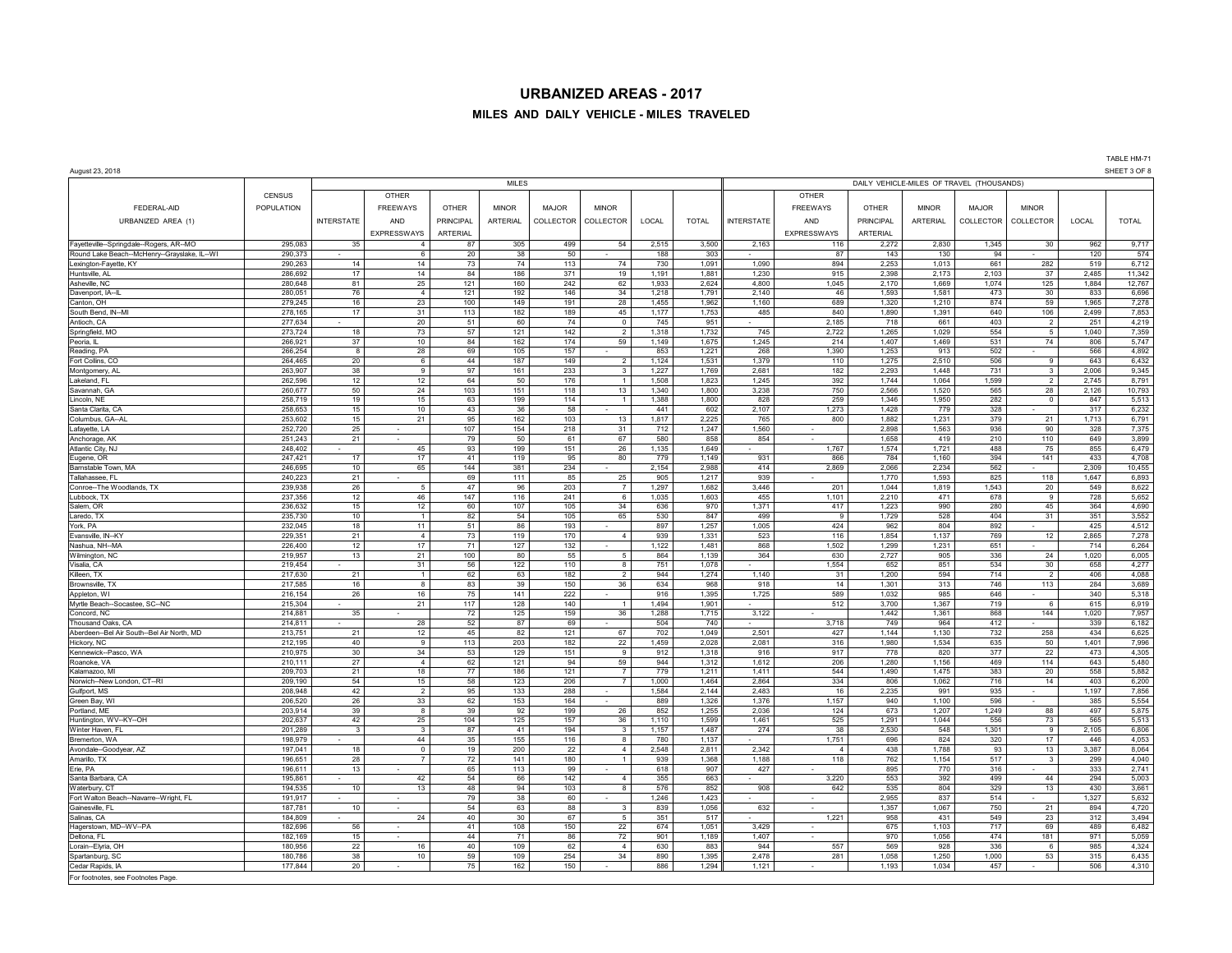## **MILES AND DAILY VEHICLE - MILES TRAVELED**

| August 23, 2018                              |                    |                   |                      |                 |                 |              |                      |                |                                           |                   |                         |                 |                 | SHEET 3 OF 8   |                 |                |                  |  |  |  |
|----------------------------------------------|--------------------|-------------------|----------------------|-----------------|-----------------|--------------|----------------------|----------------|-------------------------------------------|-------------------|-------------------------|-----------------|-----------------|----------------|-----------------|----------------|------------------|--|--|--|
|                                              |                    |                   |                      |                 | <b>MILES</b>    |              |                      |                | DAILY VEHICLE-MILES OF TRAVEL (THOUSANDS) |                   |                         |                 |                 |                |                 |                |                  |  |  |  |
|                                              | <b>CENSUS</b>      |                   | <b>OTHER</b>         |                 |                 |              |                      |                |                                           |                   | <b>OTHER</b>            |                 |                 |                |                 |                |                  |  |  |  |
| FEDERAL-AID                                  | <b>POPULATION</b>  |                   | <b>FREEWAYS</b>      | OTHER           | <b>MINOR</b>    | <b>MAJOR</b> | <b>MINOR</b>         |                |                                           |                   | <b>FREEWAYS</b>         | <b>OTHER</b>    | <b>MINOR</b>    | MAJOR          | <b>MINOR</b>    |                |                  |  |  |  |
| URBANIZED AREA (1)                           |                    | <b>INTERSTATE</b> | AND                  | PRINCIPAL       | <b>ARTERIAL</b> | COLLECTOR    | COLLECTOR            | LOCAL          | <b>TOTAL</b>                              | <b>INTERSTATE</b> | AND                     | PRINCIPAL       | <b>ARTERIAL</b> | COLLECTOR      | COLLECTOR       | LOCAL          | <b>TOTAL</b>     |  |  |  |
|                                              |                    |                   | EXPRESSWAYS          | <b>ARTERIAL</b> |                 |              |                      |                |                                           |                   | <b>EXPRESSWAYS</b>      | <b>ARTERIAL</b> |                 |                |                 |                |                  |  |  |  |
| Fayetteville--Springdale--Rogers, AR--MO     | 295,083            | 35                | $\overline{4}$       | 87              | 305             | 499          | 54                   | 2,515          | 3,500                                     | 2,163             | 116                     | 2,272           | 2,830           | 1,345          | 30              | 962            | 9,717            |  |  |  |
| Round Lake Beach--McHenry--Grayslake, IL-WI  | 290,373            |                   | 6                    | 20              | 38              | 50           |                      | 188            | 303                                       |                   | 87                      | 143             | 130             | 94             |                 | 120            | 574              |  |  |  |
| Lexington-Fayette, KY                        | 290,263            | 14                | 14                   | 73              | 74              | 113          | 74                   | 730            | 1,091                                     | 1,090             | 894                     | 2,253           | 1,013           | 661            | 282             | 519            | 6,712            |  |  |  |
| Huntsville, AL<br>Asheville, NC              | 286,692<br>280,648 | 17<br>81          | 14<br>25             | 84<br>121       | 186<br>160      | 371<br>242   | 19<br>62             | 1,191<br>1,933 | 1,881<br>2,624                            | 1,230<br>4,800    | 915<br>1,045            | 2,398<br>2,170  | 2,173<br>1,669  | 2,103<br>1,074 | 37<br>125       | 2,485<br>1,884 | 11,342<br>12,767 |  |  |  |
| Davenport, IA-IL                             | 280,051            | 76                | $\overline{4}$       | 121             | 192             | 146          | 34                   | 1,218          | 1,791                                     | 2,140             | 46                      | 1,593           | 1,581           | 473            | 30              | 833            | 6,696            |  |  |  |
| Canton, OH                                   | 279,245            | 16                | 23                   | 100             | 149             | 191          | 28                   | 1,455          | 1,962                                     | 1,160             | 689                     | 1,320           | 1,210           | 874            | 59              | 1,965          | 7,278            |  |  |  |
| South Bend, IN-MI                            | 278,165            | 17                | 31                   | 113             | 182             | 189          | 45                   | 1,177          | 1,753                                     | 485               | 840                     | 1,890           | 1,391           | 640            | 106             | 2,499          | 7,853            |  |  |  |
| Antioch, CA                                  | 277,634            |                   | 20                   | 51              | 60              | 74           | $\circ$              | 745            | 951                                       |                   | 2,185                   | 718             | 661             | 403            | $\overline{2}$  | 251            | 4,219            |  |  |  |
| Springfield, MO                              | 273,724            | 18                | 73                   | 57              | 121             | 142          | $\overline{2}$       | 1,318          | 1,732                                     | 745               | 2,722                   | 1,265           | 1,029           | 554            | $5\overline{5}$ | 1,040          | 7,359            |  |  |  |
| Peoria, IL                                   | 266,921            | 37                | 10                   | 84              | 162             | 174          | 59                   | 1,149          | 1,675                                     | 1,245             | 214                     | 1,407           | 1,469           | 531            | 74              | 806            | 5,747            |  |  |  |
| Reading, PA<br>Fort Collins, CO              | 266,254<br>264,465 | 8<br>20           | 28<br>$\,6\,$        | 69<br>44        | 105<br>187      | 157<br>149   | $\overline{2}$       | 853<br>1,124   | 1,221<br>1,531                            | 268<br>1,379      | 1.390<br>110            | 1,253<br>1,275  | 913<br>2,510    | 502<br>506     | 9               | 566<br>643     | 4,892<br>6,432   |  |  |  |
| Montgomery, Al                               | 263,907            | 38                | 9                    | 97              | 161             | 233          | $\mathbf{3}$         | 1,227          | 1,769                                     | 2,681             | 182                     | 2,293           | 1.448           | 731            | 3               | 2,006          | 9,345            |  |  |  |
| Lakeland, F                                  | 262,596            | 12                | 12                   | 64              | 50              | 176          | $\mathbf{1}$         | 1,508          | 1,823                                     | 1,245             | 392                     | 1,744           | 1,064           | 1,599          | $\overline{2}$  | 2,745          | 8,791            |  |  |  |
| Savannah, GA                                 | 260,677            | 50                | 24                   | 103             | 151             | 118          | 13                   | 1,340          | 1,800                                     | 3,238             | 750                     | 2,566           | 1,520           | 565            | 28              | 2,126          | 10,793           |  |  |  |
| Lincoln, NF                                  | 258,719            | 19                | 15                   | 63              | 199             | 114          | $\mathbf{1}$         | 1,388          | 1,800                                     | 828               | 259                     | 1,346           | 1,950           | 282            | $\circ$         | 847            | 5,513            |  |  |  |
| Santa Clarita, CA                            | 258,653            | 15                | 10                   | 43              | 36              | 58           |                      | 441            | 602                                       | 2,107             | 1,273                   | 1,428           | 779             | 328            |                 | 317            | 6,232            |  |  |  |
| Columbus, GA--AL                             | 253,602            | 15                | 21                   | 95              | 162             | 103          | 13                   | 1,817          | 2,225                                     | 765               | 800                     | 1,882           | 1,231           | 379            | 21              | 1,713          | 6,791            |  |  |  |
| Lafayette, LA                                | 252,720<br>251.243 | 25<br>21          |                      | 107<br>79       | 154<br>50       | 218<br>61    | 31<br>67             | 712<br>580     | 1,247<br>858                              | 1,560<br>854      | $\sim$                  | 2.898<br>1.658  | 1,563<br>419    | 936<br>210     | 90<br>110       | 328<br>649     | 7,375<br>3.899   |  |  |  |
| Anchorage, AK<br>Atlantic City, NJ           | 248,402            |                   | 45                   | 93              | 199             | 151          | 26                   | 1,135          | 1,649                                     | $\sim$            | 1,767                   | 1,574           | 1,721           | 488            | 75              | 855            | 6,479            |  |  |  |
| Eugene, OR                                   | 247,421            | 17                | 17                   | 41              | 119             | 95           | 80                   | 779            | 1,149                                     | 931               | 866                     | 784             | 1,160           | 394            | 141             | 433            | 4,708            |  |  |  |
| Barnstable Town, MA                          | 246,695            | 10                | 65                   | 144             | 381             | 234          |                      | 2,154          | 2,988                                     | 414               | 2,869                   | 2,066           | 2,234           | 562            | $\sim$          | 2,309          | 10,455           |  |  |  |
| Tallahassee, FL                              | 240,223            | 21                |                      | 69              | 111             | 85           | 25                   | 905            | 1,217                                     | 939               | $\epsilon$              | 1,770           | 1,593           | 825            | 118             | 1,647          | 6,893            |  |  |  |
| Conroe--The Woodlands, TX                    | 239,938            | 26                | 5                    | 47              | 96              | 203          | $\overline{7}$       | 1,297          | 1,682                                     | 3,446             | 201                     | 1,044           | 1,819           | 1,543          | 20              | 549            | 8,622            |  |  |  |
| Lubbock, TX                                  | 237,356            | 12                | 46                   | 147             | 116             | 241          | 6                    | 1,035          | 1,603                                     | 455               | 1,101                   | 2,210           | 471             | 678            | 9               | 728            | 5,652            |  |  |  |
| Salem, OR                                    | 236,632            | 15                | 12                   | 60              | 107             | 105          | 34                   | 636            | 970                                       | 1,371             | 417                     | 1,223           | 990             | 280            | 45              | 364            | 4,690            |  |  |  |
| Laredo, TX<br>York, PA                       | 235,730<br>232,045 | 10<br>18          | $\mathbf{1}$<br>11   | 82<br>51        | 54<br>86        | 105<br>193   | 65                   | 530<br>897     | 847<br>1,257                              | 499<br>1,005      | $\overline{9}$<br>424   | 1,729<br>962    | 528<br>804      | 404<br>892     | 31              | 351<br>425     | 3,552<br>4,512   |  |  |  |
| Evansville, IN-KY                            | 229,351            | 21                | $\overline{4}$       | 73              | 119             | 170          | $\overline{4}$       | 939            | 1,331                                     | 523               | 116                     | 1,854           | 1,137           | 769            | 12              | 2,865          | 7,278            |  |  |  |
| Nashua, NH--MA                               | 226,400            | 12                | 17                   | 71              | 127             | 132          |                      | 1,122          | 1,481                                     | 868               | 1,502                   | 1,299           | 1,231           | 651            |                 | 714            | 6,264            |  |  |  |
| Wilmington, NC                               | 219,957            | 13                | 21                   | 100             | 80              | 55           | 5                    | 864            | 1,139                                     | 364               | 630                     | 2,727           | 905             | 336            | 24              | 1,020          | 6,005            |  |  |  |
| Visalia, CA                                  | 219,454            |                   | 31                   | 56              | 122             | 110          | 8                    | 751            | 1,078                                     |                   | 1,554                   | 652             | 851             | 534            | 30              | 658            | 4,277            |  |  |  |
| Killeen, TX                                  | 217,630            | 21                | $\mathbf{1}$         | 62              | 63              | 182          | $\overline{2}$       | 944            | 1,274                                     | 1,140             | 31                      | 1,200           | 594             | 714            | $\overline{2}$  | 406            | 4,088            |  |  |  |
| Brownsville. TX                              | 217,585<br>216.154 | 16                | 8<br>16              | 83              | 39<br>141       | 150          | 36                   | 634<br>916     | 968<br>1.395                              | 918               | 14<br>589               | 1,301<br>1.032  | 313<br>985      | 746<br>646     | 113             | 284<br>340     | 3,689            |  |  |  |
| Appleton, WI<br>Myrtle Beach-Socastee, SC-NC | 215,304            | 26                | 21                   | 75<br>117       | 128             | 222<br>140   | $\mathbf{1}$         | 1,494          | 1,901                                     | 1,725             | 512                     | 3,700           | 1,367           | 719            | 6               | 615            | 5,318<br>6,919   |  |  |  |
| Concord, NC                                  | 214.881            | 35                |                      | 72              | 125             | 159          | 36                   | 1,288          | 1,715                                     | 3,122             | $\sim$                  | 1.442           | 1,361           | 868            | 144             | 1.020          | 7,957            |  |  |  |
| Thousand Oaks, CA                            | 214,811            |                   | 28                   | 52              | 87              | 69           |                      | 504            | 740                                       |                   | 3,718                   | 749             | 964             | 412            |                 | 339            | 6,182            |  |  |  |
| Aberdeen--Bel Air South--Bel Air North, MD   | 213.751            | 21                | 12                   | 45              | 82              | 121          | 67                   | 702            | 1,049                                     | 2,501             | 427                     | 1.144           | 1,130           | 732            | 258             | 434            | 6,625            |  |  |  |
| Hickory, NC                                  | 212,195            | 40                | $\overline{9}$       | 113             | 203             | 182          | 22                   | 1,459          | 2,028                                     | 2,081             | 316                     | 1,980           | 1,534           | 635            | 50              | 1,401          | 7,996            |  |  |  |
| Kennewick--Pasco, WA                         | 210,975            | 30                | 34                   | 53              | 129             | 151          | $\overline{9}$       | 912            | 1,318                                     | 916               | 917                     | 778             | 820             | 377            | 22              | 473            | 4,305            |  |  |  |
| Roanoke, VA                                  | 210,111<br>209,703 | 27<br>21          | $\overline{4}$<br>18 | 62<br>77        | 121<br>186      | 94<br>121    | 59<br>$\overline{7}$ | 944<br>779     | 1,312<br>1,211                            | 1,612<br>1,411    | 206<br>544              | 1,280<br>1,490  | 1,156<br>1,475  | 469<br>383     | 114<br>20       | 643<br>558     | 5,480<br>5,882   |  |  |  |
| Kalamazoo, MI<br>Norwich--New London, CT--RI | 209,190            | 54                | 15                   | 58              | 123             | 206          | $\overline{7}$       | 1,000          | 1,464                                     | 2,864             | 334                     | 806             | 1,062           | 716            | 14              | 403            | 6,200            |  |  |  |
| Gulfport, MS                                 | 208,948            | 42                | $\overline{2}$       | 95              | 133             | 288          |                      | 1,584          | 2,144                                     | 2,483             | 16                      | 2,235           | 991             | 935            |                 | 1,197          | 7,856            |  |  |  |
| Green Bay, WI                                | 206,520            | 26                | 33                   | 62              | 153             | 164          |                      | 889            | 1,326                                     | 1,376             | 1,157                   | 940             | 1,100           | 596            |                 | 385            | 5,554            |  |  |  |
| Portland, ME                                 | 203,914            | 39                | 8                    | 39              | 92              | 199          | 26                   | 852            | 1,255                                     | 2,036             | 124                     | 673             | 1,207           | 1,249          | 88              | 497            | 5,875            |  |  |  |
| Huntington, WV--KY--OH                       | 202,637            | 42                | 25                   | 104             | 125             | 157          | 36                   | 1,110          | 1,599                                     | 1,461             | 525                     | 1,291           | 1,044           | 556            | 73              | 565            | 5,513            |  |  |  |
| Winter Haven, FL                             | 201,289            | $\mathbf{3}$      | $\mathbf{3}$         | 87<br>35        | 41              | 194          | $\mathbf{3}$         | 1,157          | 1,487                                     | 274               | 38                      | 2,530           | 548             | 1,301          | 9               | 2,105<br>446   | 6,806            |  |  |  |
| Bremerton, WA<br>Avondale-Goodyear, AZ       | 198,979<br>197,041 | 18                | 44<br>$\mathbf 0$    | 19              | 155<br>200      | 116<br>22    | 8<br>$\overline{4}$  | 780<br>2,548   | 1,137<br>2,811                            | 2,342             | 1,751<br>$\overline{4}$ | 696<br>438      | 824<br>1,788    | 320<br>93      | 17<br>13        | 3,387          | 4,053<br>8,064   |  |  |  |
| Amarillo, TX                                 | 196,651            | 28                | $\overline{7}$       | 72              | 141             | 180          | $\mathbf{1}$         | 939            | 1,368                                     | 1,188             | 118                     | 762             | 1,154           | 517            | $\mathbf{3}$    | 299            | 4,040            |  |  |  |
| Erie, PA                                     | 196,611            | 13                |                      | 65              | 113             | 99           |                      | 618            | 907                                       | 427               |                         | 895             | 770             | 316            |                 | 333            | 2,741            |  |  |  |
| Santa Barbara, CA                            | 195.861            |                   | 42                   | 54              | 66              | 142          | $\overline{4}$       | 355            | 663                                       |                   | 3.220                   | 553             | 392             | 499            | 44              | 294            | 5,003            |  |  |  |
| Waterbury, CT                                | 194,535            | 10                | 13                   | 48              | 94              | 103          | 8                    | 576            | 852                                       | 908               | 642                     | 535             | 804             | 329            | 13              | 430            | 3,661            |  |  |  |
| Fort Walton Beach--Navarre--Wright, FL       | 191.917            |                   |                      | 79              | 38              | 60           |                      | 1,246          | 1,423                                     |                   |                         | 2,955           | 837             | 514            |                 | 1,327          | 5,632            |  |  |  |
| Gainesville, FL                              | 187,781            | 10                |                      | 54              | 63              | 88           | $\mathbf{3}$         | 839            | 1,056                                     | 632               | ٠                       | 1,357           | 1,067           | 750            | 21              | 894            | 4,720            |  |  |  |
| Salinas, CA<br>Hagerstown, MD--WV-PA         | 184,809<br>182,696 | 56                | 24                   | 40<br>41        | 30<br>108       | 67<br>150    | 5<br>22              | 351<br>674     | 517<br>1,051                              | 3,429             | 1,221                   | 958<br>675      | 431<br>1,103    | 549<br>717     | 23<br>69        | 312<br>489     | 3,494<br>6,482   |  |  |  |
| Deltona, FI                                  | 182.169            | 15                |                      | 44              | 71              | 86           | 72                   | 901            | 1.189                                     | 1.407             |                         | 970             | 1.056           | 474            | 181             | 971            | 5.059            |  |  |  |
| Lorain--Elyria, OH                           | 180,956            | 22                | 16                   | 40              | 109             | 62           | $\overline{4}$       | 630            | 883                                       | 944               | 557                     | 569             | 928             | 336            | 6               | 985            | 4,324            |  |  |  |
| Spartanburg, SC                              | 180.786            | 38                | 10                   | 59              | 109             | 254          | 34                   | 890            | 1.395                                     | 2.478             | 281                     | 1.058           | 1.250           | 1.000          | 53              | 315            | 6,435            |  |  |  |
| Cedar Rapids, IA                             | 177,844            | 20                |                      | 75              | 162             | 150          |                      | 886            | 1,294                                     | 1,121             |                         | 1,193           | 1,034           | 457            |                 | 506            | 4,310            |  |  |  |
| For footnotes, see Footnotes Page            |                    |                   |                      |                 |                 |              |                      |                |                                           |                   |                         |                 |                 |                |                 |                |                  |  |  |  |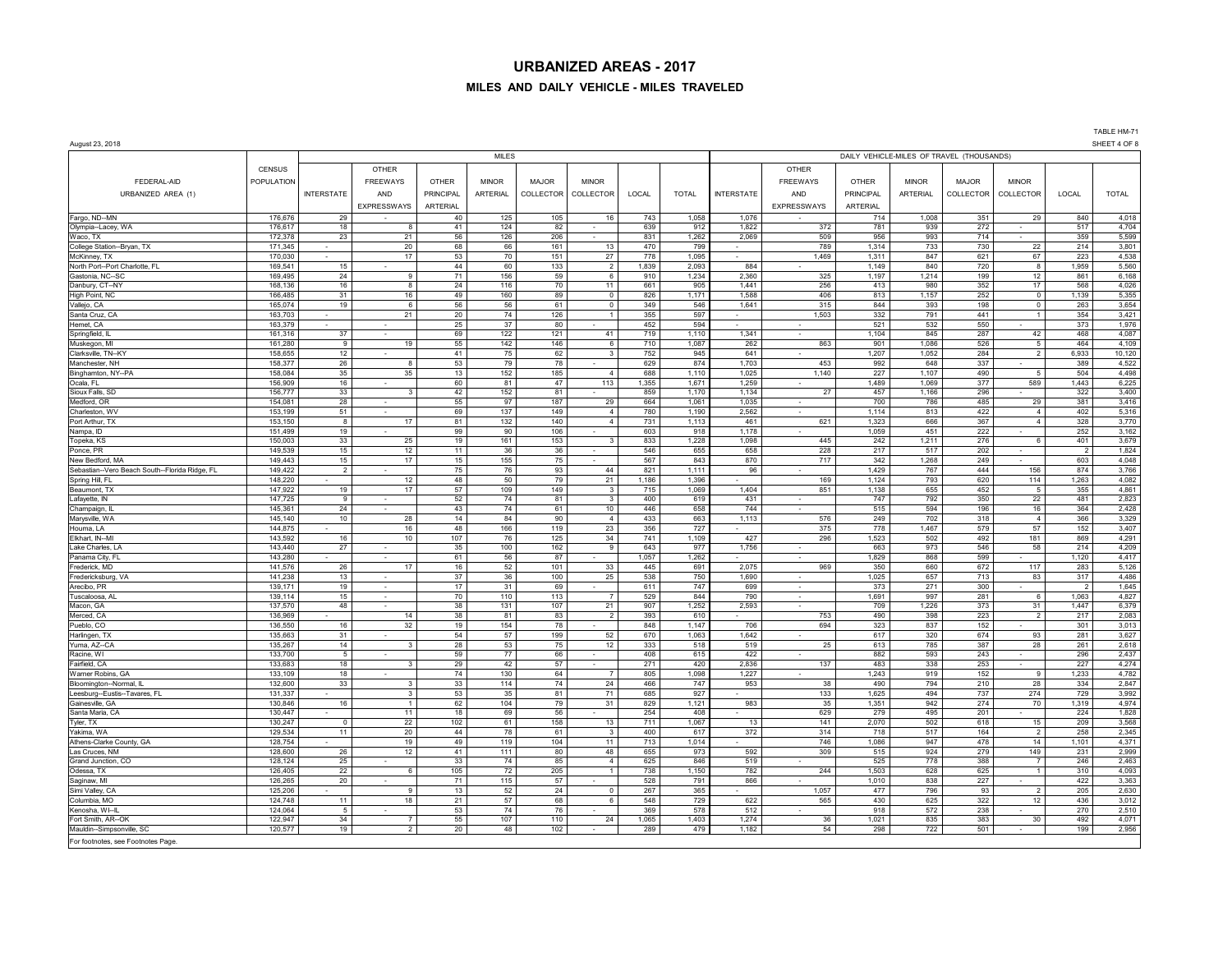#### **MILES AND DAILY VEHICLE - MILES TRAVELED**

August 23, 2018 SHEET 4 OF 8 MILES DAILY VEHICLE-MILES OF TRAVEL (THOUSANDS) CENSUS | OTHER | | | | | | | | OTHER FEDERAL-AID POPULATION FREEWAYS OTHER MINOR MAJOR MINOR FREEWAYS OTHER MINOR MAJOR MINOR URBANIZED AREA (1) | INTERSTATE | AND | PRINCIPAL | ARTERIAL | COLLECTOR | COLLECTOR | COCAL | COLLECTOR | COLLECTOR | COLLECTOR | COLLECTOR | COCAL | TOTAL | TOTAL | COLLECTOR | COLLECTOR | COCAL | TOTAL | TOTA EXPRESSWAYS ARTERIAL EXPRESSWAYS ARTERIAL Fargo, ND--MN | 176,676 | 29 | - | 40 | 125 | 105 | 16 | 743 | 1,058 || 1,076 | - | 714 | 1,008 | 351 | 29 | 840 | 4,018 Olympia--Lacey, WA | 176,617 | 18 | 8| 41 | 124 | 82 - | 639 912 || 1,822 | 372 | 781 | 939 | 272 | - | 517 | 4,704 Waco,TX | 172,378 | 23 | 21 | 56 | 126 | 206 | | 831 | 1,262 || 2,069 | 509 | 956 | 993 | 714 - | 359 | 5,599 College Station--Bryan, TX | 171,345 | - | 20 | 68 | 66 | 161 | 13 | 470 | 799 | - | 789 | 1,314 | 733 | 730 | 22 | 214 3,801 McKinney, TX | 170,030 | - | 17 | 53 | 70 | 151 | 27 | 778 | 1,095 || - | 1,469 | 1,311 | 847 | 621 | 67 | 223 | 4,538 North Port--Port Charlotte, FL 169,541 | 15 | - | 44 60 | 133 | 2,093 | 2,093 | 884 | - | 1,149 | 840 | 720 | 8 | 1,959 5,560 Gastonia, NC--SC | 169,495 | 24 | 9 | 71 | 156 | 59 | 6 | 910 | 1,234 | 2,360 | 325 | 1,197 | 1,214 | 199 | 12 | 861 | 6,168 Danbury, CT--NY | 168,136 | 16 | 8 | 24 | 116 | 70 | 11 | 661 | 905 || 1,441 | 256 | 413 | 980 | 352 | 17 | 568 | 4,026 High Point, NC | 166,485 | 31 | 16 | 49 | 89 | 0 | 826 | 1,171 | 1,588 | 406 | 813 | 1,157 | 252 | 0 | 1,139 | 5,355 Vallejo, CA 165,074 | 19 6| 56| 56| 61| 0| 349| 546| 1,641 315| 844| 393| 198| 0| 263| 3,654 Santa Cruz, CA 163,703 - 21 21 20 74 126 1 355 597 - 1,503 332 791 - 141 1 354 3,421 Hemet, CA | 163,379 | - | - | 25 | 37 | 80 | - | 452 | - | - | 521 | 532 | 550 | - | 373 | 1,976 Springfield, IL | 161,316 | 37 | - | 69 | 122 | 121 | 41 | 719 | 1,101 | 1,341 | - | 1,104 | 845 | 287 | 42 | 468 | 4,087 Muskegon, MI 161,280 9 19 55 142 146 6 710 1,087 262 863 901 1,086 526 5 464 4,109 Clarksville, TN--KY | 158,655 | 12 | | 41 | 75 | 62 | 3 | 752 | 641 | | 1,207 | 1,052 | 284 | 2 | 6,933 | 10,120 Manchester, NH | 158,377 | 26 | 8 | 53 | 79 | 78 | - | 629 | 874 || 1,703 | 453 | 992 | 648 | 337 | - | 389 | 4,522 Binghamton, NY--PA 158,084 35 35 35 35 35 35 355 365 366 37,110 3,025 366 3,110 1,025 1,140 367 1,107 490 5 504 Ocala, FL 156,909 16 - 60 81 47 113 1,355 1,671 1,259 - 1,489 1,069 377 589 1,443 6,225 Sioux Falls, SD | 156,777 | 33 | 3 | 42 | 152 | 81 | . | 859 | 1,170 || 1,134 | 27 | 457 | 1,166 | 296 | . | 322 | 3,400 Medford, OR 154,081 28 - 55 97 187 29 664 1,061 1,035 - 700 786 485 29 381 3,416 Charleston, WV | 153,199 | 51 | - | 69 | 137 | 149 | 4 | 780 | 1,190 || 2,562 | - | 1,114 | 813 | 422 | 4 | 402 | 5,316 Port Arthur, TX | 153,150 | 8 | 17 | 81 | 132 | 140 | 4 | 731 | 1,113 || 461 | 621 | 1,323 | 666 | 367 | 4 | 328 | 3,770 Nampa, ID | 151,499 | 19 | - | 99 | 90 | 106 | - | 603 | 918 || 1,178 | - | 1,059 | 451 | 222 | - | 252 | 3,162 Topeka, KS | 150,003 | 33 | 25 | 19 | 161 | 153 | 3 | 833 | 1,228 || 445 | 445 | 242 | 1,211 | 276 | 6 | 401 | 3,679 Ponce, PR | 149,539 | 15 | 12 | 11 | 36 | | 546 | 655 | 658 | 228 | 217 | 517 | 202 | - | 2 | 1,824 New Bedford, MA 149,443 | 149,443 | 15 | 15 | 15 | 155 | 75 - | 567 | 843 || 870 | 717 | 342 | 1,268 | 249 - | 603 4,048 | Sebastian--Vero Beach South--Florida Ridge, FL 149,422 2 - 75 76 93 44 821 1,111 96 - 1,429 767 444 156 874 3,766<br>Spring Hill, FL 149,000 - 12 48 50 79 21 1,186 1,396 - 169 1,124 793 620 114 1,263 4,082 Spring Hill, FL | 148,220 | - | 12 | 48 | 50 | 79 | 21 | 1,186 | 1,396 || - | 169 | 1,124 | 793 | 620 | 114 | 1,263 | 4,082 Beaumont, TX | 147,922 | 19 | 17 | 57 | 109 | 149 | 3 | 715 | 1,404 | 851 | 1,138 | 655 | 452 | 5 | 355 | 4,861 Lafayette, N | 147,725 | 9 | - | 52 | 74 | 81 | 3 | 400 | 619 || 431 | - | 747 | 792 | 350 | 22 | 481 | 2,823 Champaign, IL 145,361 24 - 43 74 61 10 446 658 744 - 515 594 196 16 364 2,428 Marysville, WA 145,140 | 145,140 | 10 | 28 | 14 | 84 | 90 | 4 | 433 | 663 || 1,113 | 576 | 249 | 702 | 318 | 4 366 | 3,329 | Houma, LA 145 - 144,875 - 16 16 48 166 119 23 356 727 - 16 375 778 1,467 579 57 152 3,407 Elkhart, IN--MI | 143,592 | 16 | 10 | 107 | 76 | 125 | 34 | 741 | 1,109 | 427 | 296 | 1,523 | 502 | 492 | 181 | 869 | 4,291 Lake Charles, LA 143,440 | 27 | - | 35 | 100 | 162 | 9 | 643 | 977 || 1,756 | - | 663 | 973 | 546 | 58 | 214 4,209 Panama City, FL | 143,280 | - | - | 61 | 56 | 87 | - | 1,057 | 1,262 || - | 1,282 | | 1,829 | 868 | 599 | - | 1,120 | 4,417 Frederick, MD 141,576 261 26 17 16 52 101 33 445 691 2,075 969 350 660 672 117 283 5,126 726 117 283 5,126 Fredericksburg, VA | 141,238 | 13 | - | 37 | 36 | 100 | 25 | 538 | 750 || 1,690 | - | 1,025 | 657 | 713 | 83 | 317 | 4,486 Arecibo, PR | 139,171 | 19 | - | 17 | 31 | 69 | - | 691 | - | 373 | 271 | 300 | - | 2 | 1,645 Tuscaloosa, AL 139,114 15 - 70 110 113 7 529 844 790 - 1,691 997 281 6 1,063 4,827 Macon, GA | 137,570 | 48 | - | 38 | 131 | 107 | 21 | 907 | 1,252 |∥ 2,593 | - | 709 | 1,226 | 373 | 31 | 1,447 | 6,379 Merced, CA 136,969 - | 14 38 81 83 2 393 610 - | 753 490 398 223 2 217 2,083 2 217 Pueblo,CO | 136,550 | 16 | 32 | 19 | 154 | 78 - | 848 | 1,147 || 706 | 694 | 323 | 837 | 152 | - | 301 3,013 Harlingen, TX | 135,663 | 31 | - | 54 | 57 | 199 | 52 | 670 | 1,063 || 1,642 | - - | 617 | 320 | 674 | 93 | 281 | 3,627 Yuma, AZ--CA 135,267 14 3 28 53 75 12 333 518 519 25 613 785 387 28 261 2,618 Racine, WI | 133,700 | 5 | | 59 | 77 | 66 | - | 408 | 615 | 422 | - | 882 | 593 | 243 | - | 296 | 2,437 Fairfield, CA 133,683 | 18 | 3| 29 | 42 | 57 | 271 | 420 || 2,836 | 137 | 483 | 338 | 253 | 227 | 4,274 Warner Robins, GA | 133,109 | 18 | - | 74 | 130 | 64 | 7 | 805 | 1,098 || 1,227 | - | 1,243 | 919 | 152 | 9 | 1,233 | 4,782 Bloomington--Normal, IL | 132,600 | 33 | 33 | 114 | 74 | 486 | 747 || 953 | 38 | 490 | 794 | 210 | 28 | 334 | 2,847 Leesburg--Eustis--Tavares, FL 131,337 | - | 3 | 53 | 35 | 81 | 71 | 685 | 927 | - | 133 | 1,625 | 494 | 737 | 274 | 729 | 3,992 Gainesville, GA 130,846 | 130,846 | 16 | 11 130,946 | 104 | 79 | 31 | 829 | 1,121 || 983 | 35 | 1,351 | 942 | 274 | 70 | 1,319 | 4,974 Santa Maria, CA 130,447 - | 11 18 69 56 - | 254 408 - | 629 279 495 201 - | 224 1,828 Tyler, TX | 130,247 | 0 | 22 | 102 | 61 | 158 | 13 | 711 | 1,067 || 13 | 141 | 2,070 | 502 | 618 | 15 | 209 | 3,568 Yakima, WA 129,534 | 11 | 20 44 78 61 3 400 617 372 314 718 517 164 2 258 2,345 Athens-Clarke County, GA | 128,754 | | 19 | 49 | 119 | 104 | 11 | 713 | 1,014 || 746 | 1,086 | 947 | 478 | 14 | 1,101 | 4,371 Las Cruces, NM | 128,600 | 26 | 12 | 41 | 111 | 80 | 48 | 655 | 973 || 309 | 515 | 924 | 279 | 149 | 231 | 2,999 Grand Junction, CO | 128,124 | 25 | | 33 | 74 | 85 | 4 | 625 | 859 | | 525 | 778 | 388 | 7 | 246 | 2,463 Odessa, TX | 126,405 | 22 | 6 | 12 | 205 | 1 | 738 | 1,50 | 244 | 1,503 | 628 | 625 | 1 | 310 | 4,093 Saginaw, MI 126,265 20 - 71 115 57 - 528 791 866 - 1,010 838 227 - 422 3,363 Simi Valley, CA 125,206 - 125,206 - 125,206 - 9 13 52 24 0 267 365 - 1,057 - 1,057 477 796 93 2 205 2,630 Columbia, MO 124,748 | 124,748 | 11 | 18 | 21 | 57 | 68 | 6 | 548 | 729 || 622 | 565 | 430 | 625 | 322 | 12 | 436 3,012 Kenosha, WI--IL 124,064 5 - 53 74 76 - 369 578 512 - 918 572 238 - 270 2,510 Fort Smith, AR--OK | 122,947 | 34 | 7 | 55 | 107 | 110 | 24 | 1,085 | 36 | 1,021 | 835 | 38 | 30 | 492 | 4,071 | Mauldin--Simpsonville, SC | 120,577 | 19 | 2 | 20 | 48 | 102 | | 2,958 | 154 | 54 | 2,98 | 722 | 501 | | 199 | 2,956 For footnotes, see Footnotes Page.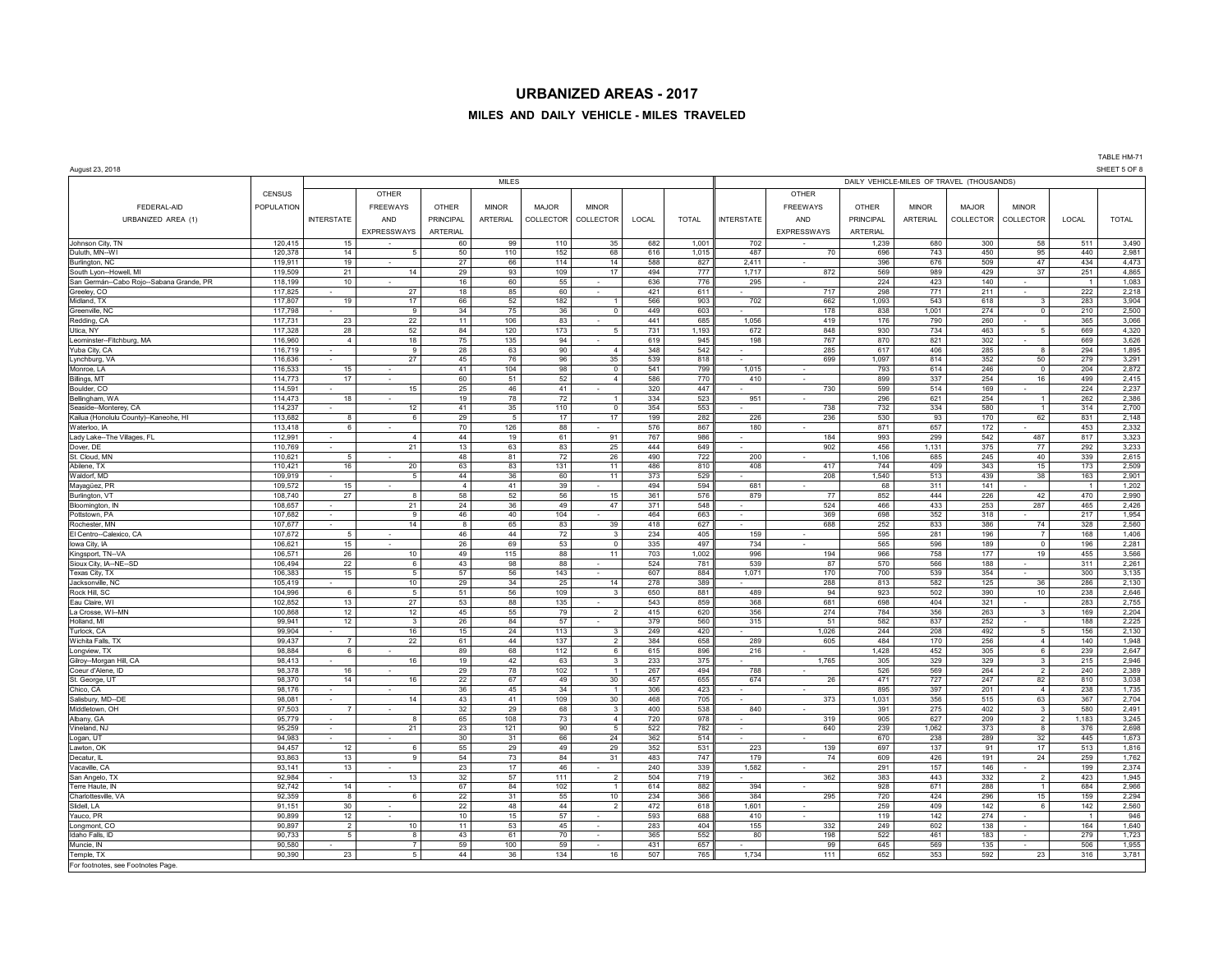## **MILES AND DAILY VEHICLE - MILES TRAVELED**

TABLE HM-71

| August 23, 2018                                                    |                    |                         |                          |                 |                 |             |                                |            |              |                                           |                    |                  |              |              |                                  |                | SHEET 5 OF 8   |  |  |  |  |
|--------------------------------------------------------------------|--------------------|-------------------------|--------------------------|-----------------|-----------------|-------------|--------------------------------|------------|--------------|-------------------------------------------|--------------------|------------------|--------------|--------------|----------------------------------|----------------|----------------|--|--|--|--|
|                                                                    |                    |                         |                          |                 | <b>MILES</b>    |             |                                |            |              | DAILY VEHICLE-MILES OF TRAVEL (THOUSANDS) |                    |                  |              |              |                                  |                |                |  |  |  |  |
|                                                                    | <b>CENSUS</b>      |                         | <b>OTHER</b>             |                 |                 |             |                                |            |              |                                           | OTHER              |                  |              |              |                                  |                |                |  |  |  |  |
| FEDERAL-AID                                                        | <b>POPULATION</b>  |                         | <b>FREEWAYS</b>          | <b>OTHER</b>    | <b>MINOR</b>    | MAJOR       | <b>MINOR</b>                   |            |              |                                           | <b>FREEWAYS</b>    | <b>OTHER</b>     | <b>MINOR</b> | <b>MAJOR</b> | <b>MINOR</b>                     |                |                |  |  |  |  |
| URBANIZED AREA (1)                                                 |                    | <b>INTERSTATE</b>       | AND                      | PRINCIPAL       | <b>ARTERIAL</b> | COLLECTOR   | COLLECTOR                      | LOCAL      | <b>TOTAL</b> | <b>INTERSTATE</b>                         | AND                | <b>PRINCIPAL</b> | ARTERIAL     | COLLECTOR    | COLLECTOR                        | LOCAL          | <b>TOTAL</b>   |  |  |  |  |
|                                                                    |                    |                         | <b>EXPRESSWAYS</b>       | <b>ARTERIAL</b> |                 |             |                                |            |              |                                           | <b>EXPRESSWAYS</b> | ARTERIAL         |              |              |                                  |                |                |  |  |  |  |
| Johnson City, TN                                                   | 120,415            | 15                      | $\sim$                   | 60              | 99              | 110         | 35                             | 682        | 1,001        | 702                                       |                    | 1,239            | 680          | 300          | 58                               | 511            | 3,490          |  |  |  |  |
| Duluth, MN--WI                                                     | 120,378            | 14                      | 5                        | 50              | 110             | 152         | 68                             | 616        | 1,015        | 487                                       | 70                 | 696              | 743          | 450          | 95                               | 440            | 2,981          |  |  |  |  |
| Burlington, NC                                                     | 119,911            | 19                      | $\sim$                   | 27              | 66              | 114         | 14                             | 588        | 827          | 2,411                                     | $\sim$             | 396              | 676          | 509          | 47                               | 434            | 4,473          |  |  |  |  |
| South Lyon--Howell, MI<br>San Germán--Cabo Rojo--Sabana Grande, PR | 119,509<br>118,199 | 21<br>10                | 14                       | 29<br>16        | 93<br>60        | 109<br>55   | 17                             | 494<br>636 | 777<br>776   | 1,717<br>295                              | 872                | 569<br>224       | 989<br>423   | 429<br>140   | 37                               | 251            | 4,865<br>1,083 |  |  |  |  |
| Greeley, CO                                                        | 117,825            |                         | 27                       | 18              | 85              | 60          |                                | 421        | 611          |                                           | 717                | 298              | 771          | 211          |                                  | 222            | 2,218          |  |  |  |  |
| Midland, TX                                                        | 117,807            | 19                      | 17                       | 66              | 52              | 182         | $\mathbf{1}$                   | 566        | 903          | 702                                       | 662                | 1,093            | 543          | 618          | $\mathbf{3}$                     | 283            | 3,904          |  |  |  |  |
| Greenville, NO                                                     | 117,798            |                         | $\overline{9}$           | 34              | 75              | 36          | $\overline{0}$                 | 449        | 603          |                                           | 178                | 838              | 1.001        | 274          | $\overline{0}$                   | 210            | 2,500          |  |  |  |  |
| Redding, CA                                                        | 117,731            | 23                      | 22                       | 11              | 106             | 83          |                                | 441        | 685          | 1,056                                     | 419                | 176              | 790          | 260          |                                  | 365            | 3,066          |  |  |  |  |
| Utica, NY<br>Leominster--Fitchburg, MA                             | 117,328<br>116,960 | 28<br>$\overline{4}$    | 52<br>18                 | 84<br>75        | 120<br>135      | 173<br>94   | $\sqrt{5}$                     | 731<br>619 | 1,193<br>945 | 672<br>198                                | 848<br>767         | 930<br>870       | 734<br>821   | 463<br>302   | 5                                | 669<br>669     | 4,320<br>3,626 |  |  |  |  |
| Yuba City, CA                                                      | 116,719            |                         | $\boldsymbol{9}$         | 28              | 63              | 90          | $\overline{4}$                 | 348        | 542          |                                           | 285                | 617              | 406          | 285          | 8                                | 294            | 1,895          |  |  |  |  |
| Lynchburg, VA                                                      | 116,636            |                         | 27                       | 45              | 76              | 96          | 35                             | 539        | 818          |                                           | 699                | 1,097            | 814          | 352          | 50                               | 279            | 3,291          |  |  |  |  |
| Monroe, LA                                                         | 116,533            | 15                      |                          | 41              | 104             | 98          | $\overline{0}$                 | 541        | 799          | 1,015                                     |                    | 793              | 614          | 246          | $\overline{\phantom{0}}$         | 204            | 2,872          |  |  |  |  |
| Billings, MT                                                       | 114,773            | 17                      | $\sim$                   | 60              | 51              | 52          | $\overline{4}$                 | 586        | 770          | 410                                       |                    | 899              | 337          | 254          | 16                               | 499            | 2,415          |  |  |  |  |
| Boulder, CO                                                        | 114,591<br>114,473 | 18                      | 15                       | 25<br>19        | 46<br>78        | 41<br>72    |                                | 320<br>334 | 447<br>523   |                                           | 730                | 599<br>296       | 514<br>621   | 169<br>254   | $\overline{1}$                   | 224<br>262     | 2,237<br>2,386 |  |  |  |  |
| Bellingham, WA<br>Seaside-Monterey, CA                             | 114,237            |                         | $\sim$<br>12             | 41              | 35              | 110         | $\overline{1}$<br>$\mathsf 0$  | 354        | 553          | 951                                       | 738                | 732              | 334          | 580          | $\overline{1}$                   | 314            | 2,700          |  |  |  |  |
| Kailua (Honolulu County)--Kaneohe, HI                              | 113,682            | 8                       | $\,6\,$                  | 29              | $5\phantom{.0}$ | 17          | 17                             | 199        | 282          | 226                                       | 236                | 530              | 93           | 170          | 62                               | 831            | 2,148          |  |  |  |  |
| Waterloo, IA                                                       | 113,418            | 6                       | $\sim$                   | 70              | 126             | 88          |                                | 576        | 867          | 180                                       |                    | 871              | 657          | 172          |                                  | 453            | 2,332          |  |  |  |  |
| Lady Lake--The Villages, FL                                        | 112,991            | $\sim$                  | $\overline{4}$           | 44              | 19              | 61          | 91                             | 767        | 986          | ٠                                         | 184                | 993              | 299          | 542          | 487                              | 817            | 3,323          |  |  |  |  |
| Dover, DE                                                          | 110,769            |                         | 21                       | 13              | 63              | 83          | 25                             | 444        | 649          | $\mathcal{L}_{\mathcal{A}}$               | 902                | 456              | 1,131        | 375          | 77                               | 292            | 3,233          |  |  |  |  |
| St. Cloud, MN<br>Abilene, TX                                       | 110,621<br>110,421 | 5<br>16                 | 20                       | 48<br>63        | 81<br>83        | 72<br>131   | 26<br>11                       | 490<br>486 | 722<br>810   | 200<br>408                                | 417                | 1,106<br>744     | 685<br>409   | 245<br>343   | 40<br>15                         | 339<br>173     | 2,615          |  |  |  |  |
| Waldorf, MD                                                        | 109.919            |                         | 5                        | 44              | 36              | 60          | 11                             | 373        | 529          |                                           | 208                | 1,540            | 513          | 439          | 38                               | 163            | 2,509<br>2,901 |  |  |  |  |
| Mayagüez, PR                                                       | 109,572            | 15                      |                          | $\overline{4}$  | 41              | 39          |                                | 494        | 594          | 681                                       |                    | 68               | 311          | 141          |                                  | $\overline{1}$ | 1,202          |  |  |  |  |
| Burlington, VT                                                     | 108,740            | 27                      | $\bf8$                   | 58              | 52              | 56          | 15                             | 361        | 576          | 879                                       | 77                 | 852              | 444          | 226          | 42                               | 470            | 2,990          |  |  |  |  |
| Bloomington, IN                                                    | 108,657            |                         | 21                       | 24              | 36              | 49          | 47                             | 371        | 548          |                                           | 524                | 466              | 433          | 253          | 287                              | 465            | 2,426          |  |  |  |  |
| Pottstown, PA                                                      | 107,682            |                         | $\boldsymbol{9}$         | 46              | 40              | 104         |                                | 464        | 663          |                                           | 369                | 698              | 352          | 318          |                                  | 217            | 1,954          |  |  |  |  |
| Rochester, MN<br>El Centro--Calexico, CA                           | 107,677<br>107,672 | 5                       | 14                       | 8<br>46         | 65<br>44        | 83<br>72    | 39<br>$\mathbf{3}$             | 418<br>234 | 627<br>405   | 159                                       | 688                | 252<br>595       | 833<br>281   | 386<br>196   | 74<br>$\overline{7}$             | 328<br>168     | 2,560<br>1,406 |  |  |  |  |
| lowa City, IA                                                      | 106,621            | 15                      | $\sim$                   | 26              | 69              | 53          | $\mathsf 0$                    | 335        | 497          | 734                                       |                    | 565              | 596          | 189          | $\overline{0}$                   | 196            | 2,281          |  |  |  |  |
| Kingsport, TN--VA                                                  | 106,571            | 26                      | $10\,$                   | 49              | 115             | 88          | 11                             | 703        | 1,002        | 996                                       | 194                | 966              | 758          | 177          | 19                               | 455            | 3,566          |  |  |  |  |
| Sioux City, IA--NE--SD                                             | 106,494            | 22                      | $\,6\,$                  | 43              | 98              | 88          | $\sim$                         | 524        | 781          | 539                                       | 87                 | 570              | 566          | 188          | ۰                                | 311            | 2,261          |  |  |  |  |
| Texas City, TX                                                     | 106,383            | 15                      | $\overline{5}$           | 57              | 56              | 143         |                                | 607        | 884          | 1,071                                     | 170                | 700              | 539          | 354          |                                  | 300            | 3,135          |  |  |  |  |
| Jacksonville, NC<br>Rock Hill, SC                                  | 105,419<br>104,996 | 6                       | 10<br>$\overline{5}$     | 29<br>51        | 34<br>56        | 25<br>109   | 14<br>$\mathbf{3}$             | 278<br>650 | 389<br>881   | 489                                       | 288<br>94          | 813<br>923       | 582<br>502   | 125<br>390   | 36<br>10                         | 286<br>238     | 2,130<br>2,646 |  |  |  |  |
| Eau Claire, WI                                                     | 102,852            | 13                      | 27                       | 53              | 88              | 135         |                                | 543        | 859          | 368                                       | 681                | 698              | 404          | 321          |                                  | 283            | 2,755          |  |  |  |  |
| La Crosse, WI--MN                                                  | 100,868            | 12                      | 12                       | 45              | 55              | 79          | $\overline{2}$                 | 415        | 620          | 356                                       | 274                | 784              | 356          | 263          | $\mathbf{3}$                     | 169            | 2,204          |  |  |  |  |
| Holland, MI                                                        | 99,941             | 12                      | $\mathbf{3}$             | 26              | 84              | 57          |                                | 379        | 560          | 315                                       | 51                 | 582              | 837          | 252          |                                  | 188            | 2,225          |  |  |  |  |
| Turlock, CA                                                        | 99.904             |                         | 16                       | 15              | 24              | 113         | $\overline{\mathbf{3}}$        | 249        | 420          |                                           | 1.026              | 244              | 208          | 492          | 5                                | 156            | 2,130          |  |  |  |  |
| Wichita Falls, TX                                                  | 99.437             | $\overline{7}$<br>6     | 22                       | 61              | 44              | 137         | $\overline{2}$                 | 384        | 658          | 289                                       | 605                | 484              | 170          | 256          | $\overline{4}$<br>6              | 140            | 1,948          |  |  |  |  |
| Longview, TX<br>Gilroy-Morgan Hill, CA                             | 98,884<br>98,413   |                         | 16                       | 89<br>19        | 68<br>42        | $112$<br>63 | 6<br>$\mathbf{3}$              | 615<br>233 | 896<br>375   | 216                                       | 1,765              | 1,428<br>305     | 452<br>329   | 305<br>329   | $\overline{3}$                   | 239<br>215     | 2,647<br>2,946 |  |  |  |  |
| Coeur d'Alene, ID                                                  | 98,378             | 16                      |                          | 29              | 78              | 102         | $\overline{1}$                 | 267        | 494          | 788                                       |                    | 526              | 569          | 264          | $\overline{2}$                   | 240            | 2,389          |  |  |  |  |
| St. George, UT                                                     | 98,370             | 14                      | 16                       | 22              | 67              | 49          | 30                             | 457        | 655          | 674                                       | 26                 | 471              | 727          | 247          | 82                               | 810            | 3,038          |  |  |  |  |
| Chico, CA                                                          | 98,176             |                         |                          | 36              | 45              | 34          | $\mathbf{1}$                   | 306        | 423          |                                           |                    | 895              | 397          | 201          | $\overline{4}$                   | 238            | 1,735          |  |  |  |  |
| Salisbury, MD--DE                                                  | 98,081             |                         | 14                       | 43              | 41              | 109         | 30                             | 468        | 705          |                                           | 373                | 1,031            | 356          | 515          | 63                               | 367            | 2,704          |  |  |  |  |
| Middletown, OH<br>Albany, GA                                       | 97,503<br>95,779   |                         | 8                        | 32<br>65        | 29<br>108       | 68<br>73    | $\mathbf{3}$<br>$\overline{4}$ | 400<br>720 | 538<br>978   | 840                                       | 319                | 391<br>905       | 275<br>627   | 402<br>209   | $\overline{3}$<br>$\overline{2}$ | 580<br>1,183   | 2,491<br>3,245 |  |  |  |  |
| Vineland, NJ                                                       | 95,259             | $\sim$<br>$\sim$        | 21                       | 23              | 121             | 90          | $\sqrt{5}$                     | 522        | 782          | ٠<br>$\sim$                               | 640                | 239              | 1,062        | 373          | 8                                | 376            | 2,698          |  |  |  |  |
| Logan, UT                                                          | 94,983             |                         |                          | 30              | 31              | 66          | 24                             | 362        | 514          | $\sim$                                    |                    | 670              | 238          | 289          | 32                               | 445            | 1,673          |  |  |  |  |
| Lawton, OK                                                         | 94,457             | 12                      | $\,6\,$                  | 55              | 29              | 49          | 29                             | 352        | 531          | 223                                       | 139                | 697              | 137          | 91           | 17                               | 513            | 1,816          |  |  |  |  |
| Decatur, IL                                                        | 93,863             | 13                      | $\overline{9}$           | 54              | 73              | 84          | 31                             | 483        | 747          | 179                                       | 74                 | 609              | 426          | 191          | 24                               | 259            | 1,762          |  |  |  |  |
| Vacaville, CA                                                      | 93,141             | 13                      |                          | 23              | 17              | 46          |                                | 240        | 339          | 1,582                                     |                    | 291              | 157          | 146          |                                  | 199            | 2,374          |  |  |  |  |
| San Angelo, TX<br>Terre Haute, IN                                  | 92,984<br>92,742   | 14                      | 13                       | 32<br>67        | 57<br>84        | 111<br>102  | $\overline{2}$<br>$\mathbf{1}$ | 504<br>614 | 719<br>882   | 394                                       | 362                | 383<br>928       | 443<br>671   | 332<br>288   | $\overline{2}$<br>$\overline{1}$ | 423<br>684     | 1,945<br>2,966 |  |  |  |  |
| Charlottesville, VA                                                | 92,359             | $\overline{\mathbf{8}}$ | 6                        | 22              | 31              | 55          | 10                             | 234        | 366          | 384                                       | 295                | 720              | 424          | 296          | 15                               | 159            | 2,294          |  |  |  |  |
| Slidell, LA                                                        | 91.151             | 30                      | $\sim$                   | 22              | 48              | 44          | $\overline{2}$                 | 472        | 618          | 1.601                                     | $\sim$             | 259              | 409          | 142          | $\epsilon$                       | 142            | 2,560          |  |  |  |  |
| Yauco, PR                                                          | 90,899             | 12                      |                          | 10              | 15              | 57          |                                | 593        | 688          | 410                                       |                    | 119              | 142          | 274          | $\sim$                           | $\overline{1}$ | 946            |  |  |  |  |
| Longmont, CO                                                       | 90,897             | $\overline{2}$          | 10                       | 11              | 53              | 45          | $\sim$                         | 283        | 404          | 155                                       | 332                | 249              | 602          | 138          | ÷.                               | 164            | 1,640          |  |  |  |  |
| Idaho Falls, ID                                                    | 90,733             | 5                       | $\bf8$<br>$\overline{7}$ | 43<br>59        | 61              | 70<br>59    | $\sim$                         | 365        | 552<br>657   | 80                                        | 198                | 522              | 461<br>569   | 183          | ÷.                               | 279<br>506     | 1,723<br>1,955 |  |  |  |  |
| Muncie, IN<br>Temple, TX                                           | 90,580<br>90,390   | 23                      | $\overline{5}$           | 44              | 100<br>36       | 134         | 16                             | 431<br>507 | 765          | 1,734                                     | 99<br>111          | 645<br>652       | 353          | 135<br>592   | 23                               | 316            | 3,781          |  |  |  |  |
| For footnotes, see Footnotes Page                                  |                    |                         |                          |                 |                 |             |                                |            |              |                                           |                    |                  |              |              |                                  |                |                |  |  |  |  |

For footnotes, see Footnotes Page.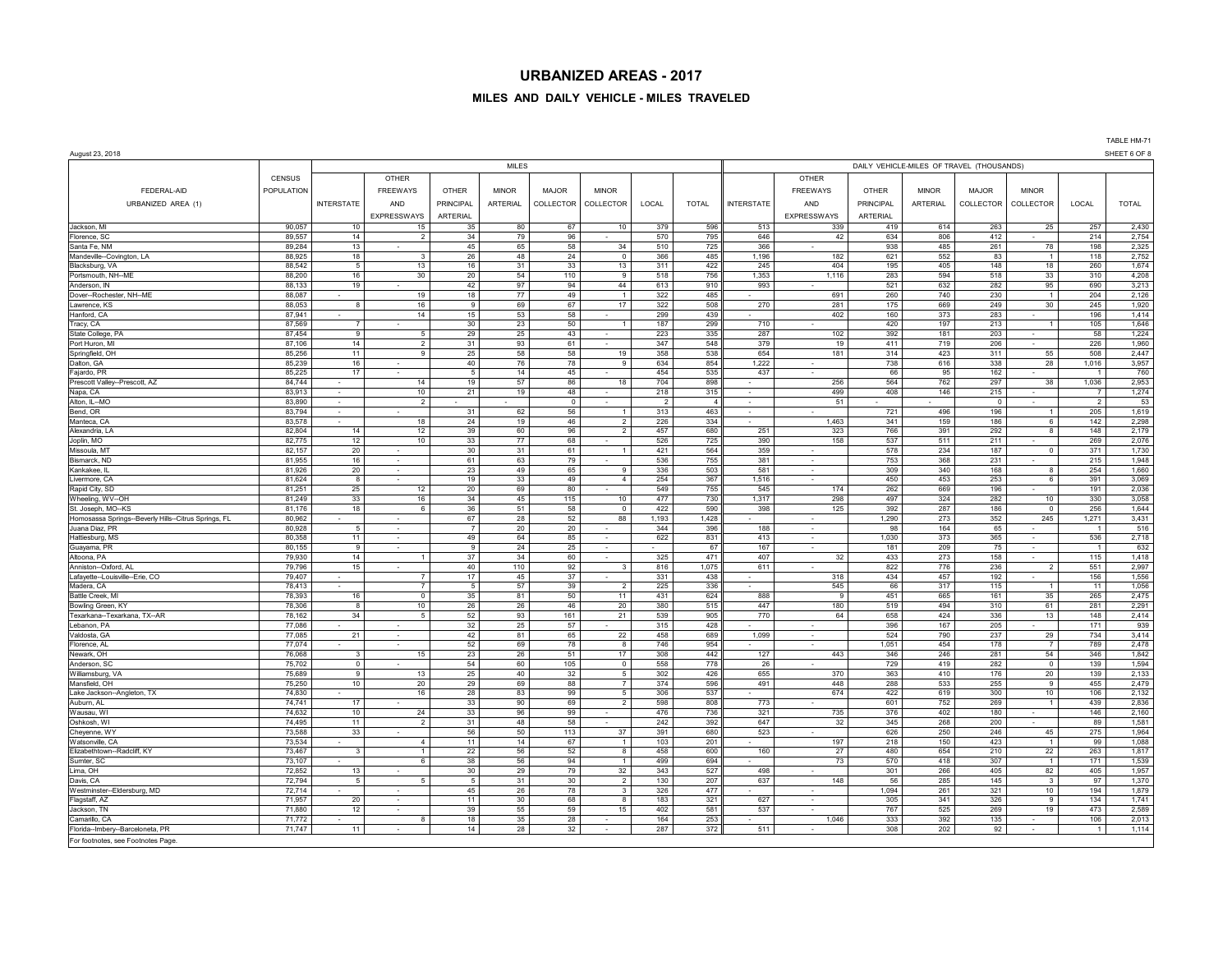#### **MILES AND DAILY VEHICLE - MILES TRAVELED**

August 23, 2018 SHEET 6 OF 8 MILES DAILY VEHICLE-MILES OF TRAVEL (THOUSANDS) CENSUS | OTHER | | | | | | | | OTHER FEDERAL-AID | POPULATION | | FREEWAYS | OTHER | MINOR | MAJOR | MINOR | MINOR | MINOR | MINOR | MINOR | MINOR | MINOR | MINOR | MINOR | URBANIZED AREA (1) | INTERSTATE | AND | PRINCIPAL | ARTERIAL | COLLECTOR | COLLECTOR | COLLECTOL | COLLECTOR | COLLECTOR | COLLECTOR | COLLECTOR | COLLECTOR | COLLECTOR | COLLECTOR | COLLECTOR | COLLECTOR | COLL EXPRESSWAYS ARTERIAL EXPRESSWAYS ARTERIAL Jackson, MI 90,057 10 15 35 80 67 10 379 596 513 339 419 614 263 25 257 2,430 Florence, SC | 89,557 | 14 | 2 | 34 | 79 | 96 | | 795 || 646 | 42 | 634 | 806 | 412 | - | 2,154 | 2,754 Santa Fe,NM 89,284 13 - 13 45 65 58 34 510 725 366 - 938 485 261 78 198 2,325 362 366 261 366 261 278 198 2,325 Mandeville--Covington, LA | 88,925 | 18 | 3 | 26 | 48 | 24 | 0 | 366 | 485 || 182 | 621 | 552 | 83 | 1 | 118 | 2,752 Blacksburg, VA | 88,542 | 5 | 13 | 16 | 31 | 33 | 13 | 311 | 422 || 245 | 404 | 195 | 405 | 148 | 18 | 260 | 1,674 Portsmouth, NH--ME | 88,200 | 16 | 30 | 20 | 54 | 110 | 9 | 518 | 1,353 | 1,116 | 283 | 558 | 518 | 33 | 310 | 4,208 Anderson, IN | 88,133 | 19 | 42 | 97 | 94 | 44 | 613 | 990 | 993 | | 521 | 632 | 282 | 95 | 690 | 3,213 Dover--Rochester, NH--ME | 88,087 | - | 19 | 18 | 77 | 49 | 1 | 322 | 485 || - | 691 | 260 | 740 | 230 | 1 | 204 | 2,126 Lawrence, KS | 88,053 | 8 | 16 | 9 | 69 | 67 | 17 | 322 | 508 || 270 | 281 | 175 | 669 | 249 | 30 | 245 | 1,920 Hanford, CA 88 - 196 | 1,414 15 | 14 | 15 | 158 | 1,414 15 | 1,414 | 159 | 1,414 | 15 Tracy, CA 87,569 | 7 | - | 30 | 23 | 50 | 1 | 187 | 299 || 710 | - | 420 | 197 | 213 | 1 | 105 | 1,646 State College, PA 87,454 9 5 29 25 43 - 223 335 287 102 392 181 203 - 58 1,224 Port Huron, MI | 87,106 | 14 | 2 | 31 | 93 | 61 | - | 347 | 548 || 379 | 19 | 411 | 719 | 206 | - | 226 | 1,960 Springfield, OH 85,256 | 11 9 25 58 58 19 358 538 654 181 314 423 311 55 508 2,447 Dalton, GA 85,239 | 16 - | 40 76 78 9 634 854 1,222 - | 738 616 338 28 1,016 3,957 Fajardo, PR 85,225 17 - 5 14 45 - 454 535 437 - 66 95 162 - 1 760 Prescott Valley--Prescott, AZ 84,744 - 14 | 19 | 57 | 86 | 18 | 704 | 898 || - | 256 | 564 | 762 | 297 | 38 | 1,036 | 2,953 Napa, CA 83,913 | 83,913 | - | 10 || 21 || 19 || 48 || - || 218 || 315 || - || 199 || 499 || 408 || 146 || 215 || - || 1,274 Alton, IL--MO | 83,890 | - | 2 | - | - | 2 | 4 || - | - | - | 53 53 Bend,OR | 83,794 | - | - | 31 | 62 | 56 | 1 | 313 | 463 || - | - - | 721 | 496 | 196 | 1 | 205 | 1,619 Manteca, CA 83,578 | 83,578 | 18 | 24 | 19 | 46 | 2 | 226 | 334 | - | 1,463 | 341 | 159 | 186 | 6 | 142 | 2,298 Alexandria, LA 82,804 | 14 12 39 60 96 2 457 680 251 323 766 391 292 8 148 2,179 Joplin, MO 82,775 12 10 33 77 68 - 526 725 390 158 537 511 211 - 269 2,076 Missoula, MT 82,157 20 - 30 31 61 1 421 564 359 - 578 234 187 0 371 1,730 Bismarck, ND | 81,955 | 16 | 75 | 755 | 381 | 1,948 Kankakee, IL 81,926 20 - 23 49 65 9 336 503 581 - 309 340 168 8 254 1,660 Livermore, CA | 81,624 | 8 | - | 19 | 33 | 49 | 4 | 254 | 367 || 1,516 | - | 450 | 453 | 253 | 6 | 391 | 3,069 Rapid City, SD 81,251 81,251 25 12 20 89 80 - 549 755 545 545 174 262 669 196 - 191 2,036 Wheeling, WV--OH | 81,249 | 33 | 16 | 34 | 45 | 115 | 10 | 477 | 730 | 1,317 | 298 | 497 | 324 | 282 | 10 | 330 |3,058 St. Joseph, MO--KS | 81,176 | 18 | 6 | 36 | 51 | 58 | 0 | 422 | 590 || 398 | 125 | 392 | 287 | 186 | 0 | 256 | 1,644 Homosassa Springs--Beverly Hills--Citrus Springs, FL 80,962 - - 67 28 52 88 1,193 1,428 - - 1,290 273 352 245 1,271 3,431 Juana Diaz, PR 80,928 5 - 7 20 20 - 344 396 188 - 98 164 65 - 1 516 Hattiesburg, MS | 80,358 | 11 | - | 49 | 64 | 85 | - | 622 | 831 || 413 | - | 1,030 | 373 | 365 | - | 536 | 2,718 Guayama, PR 80,155 9 - 9 24 25 - - 67 167 - 181 209 75 - 1 632 Altoona, PA 79,930 | 14 1 | 37 34 60 - 325 471 407 32 433 273 158 - 115 1,418 Anniston--Oxford, AL | 79,796 | 15 | | 40 | 110 | 92 | 816 | 611 | - | 822 | 776 | 236 | 2 | 551 | 2,997 Lafayette--Louisville--Erie, CO 7 | 17 | 45 | 37 | | 331 | 438 | | 434 | 457 | 192 | | 156 | 1,556 Madera, CA 78,413 - 7 5 57 39 2 225 336 - 545 66 317 115 1 11 1,056 Battle Creek, MI 78,393 | 16 | 0 | 35 | 81 | 50 | 11 | 431 | 624 || 888 | 9 | 451 | 665 | 161 | 35 | 265 | 2,475 Bowling Green, KY | 78,306 | 8 | 10 | 26 | 46 | 20 | 380 | 447 | 180 | 519 | 494 | 310 | 61 | 2,291 2,291 Texarkana--Texarkana, TX--AR | 78,162 | 34 5 52 93 161 21 539 905 770 64 658 424 336 13 148 2,414 Lebanon, PA 7 7,086 - 1 - 1 32 25 57 - 315 428 - 1 - 1 396 167 205 - 111 939 Valdosta, GA 7 - 1990 - 1990 1,099 - 1990 - 1990 - 1990 - 1990 - 1990 - 1991 - 1991 - 1991 - 1991 - 1991 - 199 Florence, AL | 77,074 - 52 | 69 | 78 | 8 | 746 | 954 || - | - | 1,051 | 454 | 178 | 7 | 789 | 2,478 Newark, OH 76,068 3 15 23 26 51 17 308 442 127 443 346 246 281 54 346 1,842 Anderson, SC | 75,702 | 0 | 105 | 0 | 558 | 778 || 26 | 1,594 0 | 1,594 Williamsburg, VA 139 19 13, 1989 9 13 | 25 40 32 5 302 426 655 370 363 410 176 176 20 139 2,133 Mansfield, OH | 75,250 | 10 | 20 | 29 | 69 | 88 | 7 | 374 | 596 || 491 | 448 | 288 | 533 | 255 | 9 | 455 | 2,479 Lake Jackson--Angleton, TX | 74,830 | 16 | 28 | 83 | 99 | 5 | 306 | 57 || - | 674 | 422 | 619 | 300 | 10 | 106 | 2,132 Auburn, AL 74,741 17 - 33 90 69 2 598 808 773 - 601 752 269 1 439 2,836 Wausau, WI 74,632 10 24 33 96 99 - 476 736 321 735 376 402 180 - 146 2,160 Oshkosh, WI 7 99 1,581 11 2 31 48 58 - 242 392 647 32 345 268 200 - 89 1,581 3945 268 392 - 89 1,581 Cheyenne, WY 73 - 1,964 - 1,964 - 1,964 50 113 37 391 680 523 - 1,964 250 246 45 275 1,964 Watsonville, CA 75.534 | 73,534 | 4 | 11 | 14 | 67 | 1 | 103 | 201 || - | 197 | 218 | 150 | 423 | 1 | 99 | 1,088 Elizabethtown--Radcliff, KY | 73,467 | 3 | 1 | 22 | 56 | 52 | 458 | 600 || 160 | 27 | 480 | 654 | 210 | 22 | 263 | 1,817 Sumter, SC 73,107 - 6 38 56 94 1 499 694 - 73 570 418 307 1 171 1,539 Lima, OH 72,852 13 - 30 29 79 32 343 527 498 - 301 266 405 82 405 1,957 Davis,CA 7 = 1,370 = 1,370 (1,370 − 1,370 − 1,370 − 1,370 − 1,370 − 1,370 − 1,370 − 1,370 − 1,370 − 1,370 − 1,370 − 1,370 − 1,370 − 1,370 − 1,370 − 1,370 − 1,370 − 1,370 − 1,370 − 1,370 − 1,370 − 1,370 − 1,370 − 1,370 − 1 Westminster--Eldersburg, MD | 72,714 - | - | 45 26 78 3 326 477 - | - | 1,094 261 281 321 10 194 1,879 Flagstaff, AZ 71,957 20 - 11 30 68 8 183 321 627 - 305 341 326 9 134 1,741 Jackson, TN | 71,880 | 12 | 55 | 59 | 15 | 402 | 537 | | 767 | 525 | 269 | 19 | 473 | 2,589 Camarillo, CA 71,772 - 8 8 18 35 28 - 164 253 - 1,046 333 392 135 - 106 2,013 - 1,066 2,013 Florida--Imbery--Barceloneta, PR | 71,747 | 11 | - | 14 | 28 | 32 | - | 27 | 511 | - | 308 | 202 | 92 | - | 1 | 1,114

For footnotes, see Footnotes Page.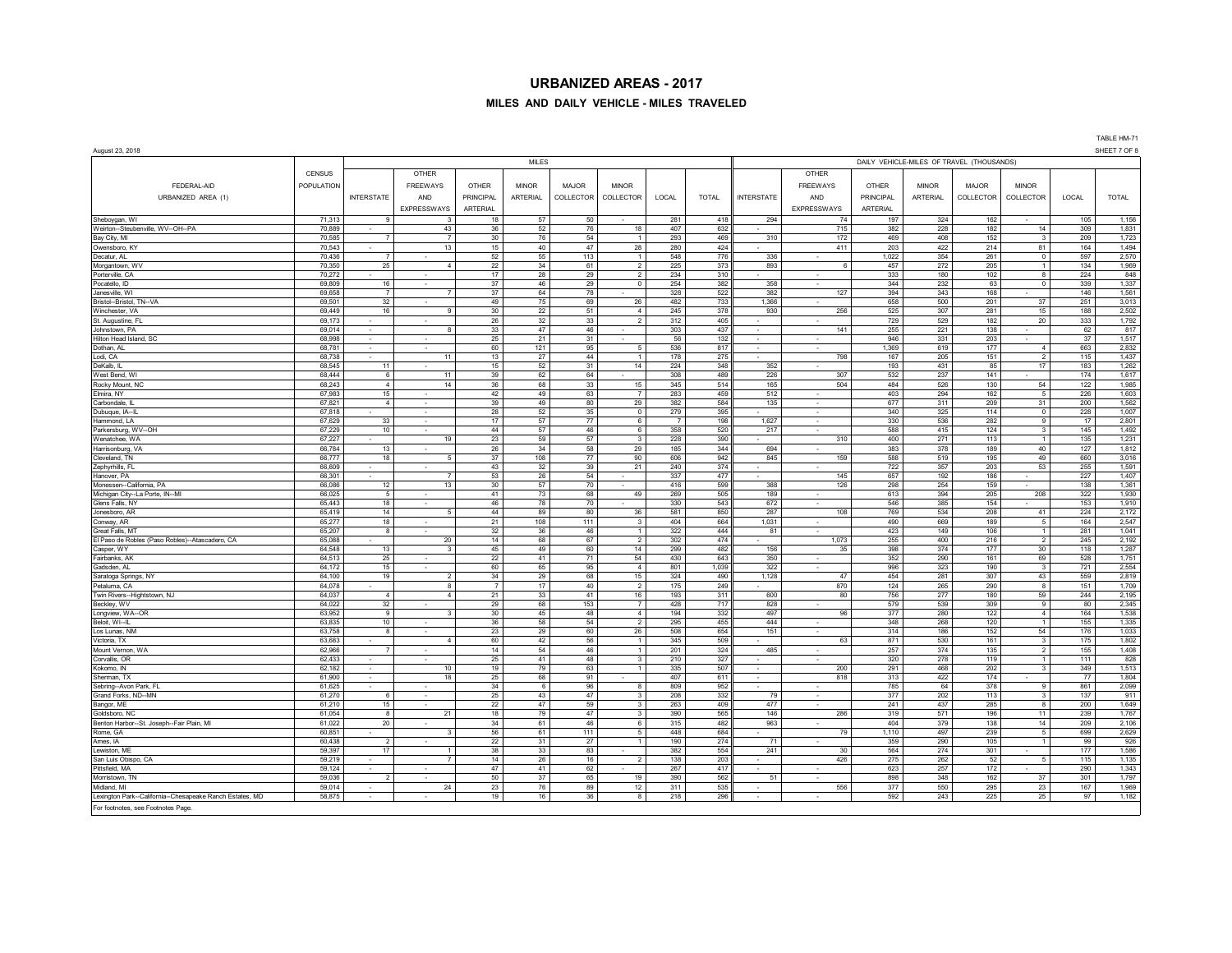## **MILES AND DAILY VEHICLE - MILES TRAVELED**

|                                                                         |                  |                          |                    |                       |                 |              |                              |                                           |              |                   |                    |                 |                 |              |                         |            | IADLE NW-7 I<br>SHEET 7 OF 8 |  |  |  |
|-------------------------------------------------------------------------|------------------|--------------------------|--------------------|-----------------------|-----------------|--------------|------------------------------|-------------------------------------------|--------------|-------------------|--------------------|-----------------|-----------------|--------------|-------------------------|------------|------------------------------|--|--|--|
| August 23, 2018                                                         |                  |                          |                    |                       | <b>MILES</b>    |              |                              | DAILY VEHICLE-MILES OF TRAVEL (THOUSANDS) |              |                   |                    |                 |                 |              |                         |            |                              |  |  |  |
|                                                                         |                  |                          |                    |                       |                 |              |                              |                                           |              | OTHER             |                    |                 |                 |              |                         |            |                              |  |  |  |
|                                                                         | CENSUS           |                          | OTHER              |                       |                 |              |                              |                                           |              |                   |                    |                 |                 |              |                         |            |                              |  |  |  |
| FEDERAL-AID                                                             | POPULATION       |                          | <b>FREEWAYS</b>    | OTHER                 | <b>MINOR</b>    | <b>MAJOR</b> | <b>MINOR</b>                 |                                           |              |                   | <b>FREEWAYS</b>    | OTHER           | <b>MINOR</b>    | <b>MAJOR</b> | <b>MINOR</b>            |            |                              |  |  |  |
| URBANIZED AREA (1)                                                      |                  | <b>INTERSTATE</b>        | <b>AND</b>         | <b>PRINCIPAL</b>      | <b>ARTERIAL</b> | COLLECTOR    | COLLECTOR                    | LOCAL                                     | <b>TOTAL</b> | <b>INTERSTATE</b> | AND                | PRINCIPAL       | <b>ARTERIAL</b> | COLLECTOR    | COLLECTOR               | LOCAL      | <b>TOTAL</b>                 |  |  |  |
|                                                                         |                  |                          | <b>EXPRESSWAYS</b> | <b>ARTERIAL</b>       |                 |              |                              |                                           |              |                   | <b>EXPRESSWAYS</b> | <b>ARTERIAL</b> |                 |              |                         |            |                              |  |  |  |
| Sheboygan, WI                                                           | 71,313           | -9                       | -3                 | 18                    | 57              | 50           |                              | 281                                       | 418          | 294               | 74                 | 197             | 324             | 162          | $\sim$                  | 105        | 1,156                        |  |  |  |
| Weirton--Steubenville, WV--OH--PA                                       | 70,889           |                          | 43                 | 36                    | 52              | 76           | 18                           | 407                                       | 632          |                   | 715                | 382             | 228             | 182          | 14                      | 309        | 1,831                        |  |  |  |
| Bay City, MI                                                            | 70.585           | $\overline{7}$           | -7                 | 30                    | 76              | 54           | $\mathbf{1}$                 | 293                                       | 469          | 310               | 172                | 469             | 408             | 152          | 3                       | 209        | 1,723                        |  |  |  |
| Owensboro, KY                                                           | 70,543           | ÷.<br>$\overline{7}$     | 13                 | 15                    | 40<br>55        | 47           | 28<br>$\overline{1}$         | 280                                       | 424<br>776   |                   | 411                | 203             | 422<br>354      | 214<br>261   | 81                      | 164<br>597 | 1,494<br>2,570               |  |  |  |
| Decatur, AL<br>Morgantown, WV                                           | 70,436<br>70,350 | 25                       | $\overline{4}$     | 52<br>22              | 34              | 113<br>61    | $\overline{2}$               | 548<br>225                                | 373          | 336<br>893        | 6                  | 1,022<br>457    | 272             | 205          | $\circ$<br>$\mathbf{1}$ | 134        | 1,969                        |  |  |  |
| Porterville, CA                                                         | 70,272           |                          | $\sim$             | 17                    | 28              | 29           | $\overline{2}$               | 234                                       | 310          |                   | $\sim$             | 333             | 180             | 102          | 8                       | 224        | 848                          |  |  |  |
| Pocatello, ID                                                           | 69,809           | 16                       |                    | 37                    | 46              | 29           | $\circ$                      | 254                                       | 382          | 358               |                    | 344             | 232             | 63           | $\circ$                 | 339        | 1,337                        |  |  |  |
| Janesville, WI                                                          | 69,658           | $\overline{7}$           |                    | 37                    | 64              | 78           |                              | 328                                       | 522          | 382               | 127                | 394             | 343             | 168          |                         | 146        | 1,561                        |  |  |  |
| Bristol--Bristol, TN--VA                                                | 69,501           | 32                       |                    | 49                    | 75              | 69           | 26                           | 482                                       | 733          | 1,366             |                    | 658             | 500             | 201          | 37                      | 251        | 3,013                        |  |  |  |
| Winchester, VA                                                          | 69.449           | 16                       | $\mathbf{q}$       | 30 <sup>7</sup>       | 22              | 51           | $\overline{4}$               | 245                                       | 378          | 930               | 256                | 525             | 307             | 281          | 15                      | 188        | 2.502                        |  |  |  |
| St. Augustine, FL<br>Johnstown PA                                       | 69,173<br>69.014 | ×,<br>$\sim$             | ×.<br>8            | 26<br>33              | 32<br>47        | 33<br>46     | $\overline{2}$<br>$\sim$     | 312<br>303                                | 405<br>437   | $\sim$            | 141                | 729<br>255      | 529             | 182<br>138   | 20                      | 333<br>62  | 1,792                        |  |  |  |
| Hilton Head Island, SC                                                  | 68,998           | $\sim$                   | $\mathbf{r}$       | 25                    | 21              | 31           |                              | 56                                        | 132          |                   |                    | 946             | 221<br>331      | 203          | ۰.                      | 37         | 817<br>1,517                 |  |  |  |
| Dothan, AL                                                              | 68,781           | ÷.                       |                    | 60                    | 121             | 95           | 5                            | 536                                       | 817          |                   |                    | 1,369           | 619             | 177          | $\overline{4}$          | 663        | 2,832                        |  |  |  |
| Lodi, CA                                                                | 68,738           | ×.                       | 11                 | 13                    | 27              | 44           | $\overline{1}$               | 178                                       | 275          |                   | 798                | 167             | 205             | 151          | $\overline{2}$          | 115        | 1,437                        |  |  |  |
| DeKalb, IL                                                              | 68,545           | 11                       |                    | 15                    | 52              | 31           | 14                           | 224                                       | 348          | 352               |                    | 193             | 431             | 85           | 17 <sup>2</sup>         | 183        | 1,262                        |  |  |  |
| West Bend, WI                                                           | 68,444           | 6                        | 11                 | 39                    | 62              | 64           |                              | 308                                       | 489          | 226               | 307                | 532             | 237             | 141          |                         | 174        | 1,617                        |  |  |  |
| Rocky Mount, NC                                                         | 68,243           | $\overline{4}$           | 14                 | 36                    | 68              | 33           | 15                           | 345                                       | 514          | 165               | 504                | 484             | 526             | 130          | 54                      | 122        | 1,985                        |  |  |  |
| Elmira, NY                                                              | 67,983           | 15                       |                    | 42                    | 49              | 63           | $\overline{7}$               | 283                                       | 459          | 512               |                    | 403             | 294             | 162          | $5\phantom{.0}$         | 226        | 1,603                        |  |  |  |
| Carbondale,                                                             | 67,821           | $\overline{4}$           |                    | 39                    | 49              | 80           | 29                           | 382                                       | 584          | 135               |                    | 677             | 311             | 209          | 31                      | 200        | 1,562                        |  |  |  |
| Dubuque, IA--IL<br>Hammond, LA                                          | 67,818<br>67,629 | 33                       |                    | 28<br>17              | 52<br>57        | 35<br>77     | $\circ$<br>6                 | 279<br>$\overline{7}$                     | 395<br>198   | 1,627             |                    | 340<br>330      | 325<br>536      | 114<br>282   | $\mathsf{o}\,$<br>9     | 228<br>17  | 1,007<br>2,801               |  |  |  |
| Parkersburg, WV--OH                                                     | 67.229           | 10                       |                    | 44                    | 57              | 46           | 6                            | 358                                       | 520          | 217               |                    | 588             | 415             | 124          | $\mathbf{3}$            | 145        | 1,492                        |  |  |  |
| Wenatchee, WA                                                           | 67,227           |                          | 19                 | 23                    | 59              | 57           | $\overline{\mathbf{3}}$      | 228                                       | 390          |                   | 310                | 400             | 271             | 113          | $\mathbf{1}$            | 135        | 1,231                        |  |  |  |
| Harrisonburg, VA                                                        | 66.784           | 13                       | ٠                  | 26                    | 34              | 58           | 29                           | 185                                       | 344          | 694               |                    | 383             | 378             | 189          | 40                      | 127        | 1,812                        |  |  |  |
| Cleveland TN                                                            | 66.777           | 18                       | -5                 | 37                    | 108             | 77           | 90                           | 606                                       | 942          | 845               | 159                | 588             | 519             | 195          | 49                      | 660        | 3,016                        |  |  |  |
| Zephyrhills, FL                                                         | 66.609           | $\sim$                   |                    | 43                    | 32              | 39           | 21                           | 240                                       | 374          |                   |                    | 722             | 357             | 203          | 53                      | 255        | 1,591                        |  |  |  |
| Hanover, PA                                                             | 66,301           | $\sim$                   | $\overline{7}$     | 53                    | 26              | 54           |                              | 337                                       | 477          |                   | 145                | 657             | 192             | 186          | ۰.                      | 227        | 1,407                        |  |  |  |
| Monessen--California, PA                                                | 66,086<br>66,025 | 12<br>5                  | 13                 | 30 <sup>°</sup><br>41 | 57<br>73        | 70<br>68     | $\sim$<br>49                 | 416<br>269                                | 599<br>505   | 388<br>189        | 126                | 298<br>613      | 254<br>394      | 159<br>205   | 208                     | 138<br>322 | 1,361<br>1,930               |  |  |  |
| Michigan City--La Porte, IN--MI<br>Glens Falls, NY                      | 65,443           | 18                       | $\sim$             | 46                    | 78              | 70           | ×.                           | 330                                       | 543          | 672               | -                  | 546             | 385             | 154          | ÷.                      | 153        | 1,910                        |  |  |  |
| Jonesboro, AR                                                           | 65,419           | 14                       | 5                  | 44                    | 89              | 80           | 36                           | 581                                       | 850          | 287               | 108                | 769             | 534             | 208          | 41                      | 224        | 2,172                        |  |  |  |
| Conway, AR                                                              | 65,277           | 18                       | ×.                 | 21                    | 108             | 111          | $\overline{\mathbf{3}}$      | 404                                       | 664          | 1,031             | $\sim$             | 490             | 669             | 189          | 5                       | 164        | 2,547                        |  |  |  |
| Great Falls, MT                                                         | 65,207           | 8                        |                    | 32                    | 36              | 46           | $\overline{1}$               | 322                                       | 444          | 81                |                    | 423             | 149             | 106          | $\mathbf{1}$            | 281        | 1,041                        |  |  |  |
| El Paso de Robles (Paso Robles)--Atascadero, CA                         | 65,088           |                          | 20                 | 14                    | 68              | 67           | $\overline{2}$               | 302                                       | 474          |                   | 1,073              | 255             | 400             | 216          | $\overline{2}$          | 245        | 2,192                        |  |  |  |
| Casper, WY                                                              | 64.548           | 13                       | $\mathbf{3}$       | 45                    | 49              | 60           | 14                           | 299                                       | 482          | 156               | 35                 | 398             | 374             | 177          | 30 <sup>1</sup>         | 118        | 1,287                        |  |  |  |
| Fairbanks, Al<br>Gadsden, AL                                            | 64,513<br>64,172 | 25<br>15                 |                    | 22<br>60              | 41<br>65        | 71<br>95     | 54<br>$\overline{4}$         | 430<br>801                                | 643<br>1,039 | 350<br>322        |                    | 352<br>996      | 290<br>323      | 161<br>190   | 69<br>$\overline{3}$    | 528<br>721 | 1,751<br>2,554               |  |  |  |
| Saratoga Springs, NY                                                    | 64,100           | 19                       | $\overline{2}$     | 34                    | 29              | 68           | 15                           | 324                                       | 490          | 1,128             | 47                 | 454             | 281             | 307          | 43                      | 559        | 2,819                        |  |  |  |
| Petaluma, CA                                                            | 64,078           |                          | 8                  | $\overline{7}$        | 17              | 40           | $\overline{2}$               | 175                                       | 249          |                   | 870                | 124             | 265             | 290          | 8                       | 151        | 1,709                        |  |  |  |
| Twin Rivers--Hightstown, NJ                                             | 64,037           | $\overline{4}$           | $\Delta$           | 21                    | 33              | 41           | 16                           | 193                                       | 311          | 600               | 80                 | 756             | 277             | 180          | 59                      | 244        | 2,195                        |  |  |  |
| Beckley, WV                                                             | 64,022           | 32                       |                    | 29                    | 68              | 153          | $\overline{7}$               | 428                                       | 717          | 828               |                    | 579             | 539             | 309          | 9                       | 80         | 2,345                        |  |  |  |
| Longview, WA--OR                                                        | 63,952           | $\overline{9}$           | $\mathbf{3}$       | 30                    | 45              | 48           | $\overline{4}$               | 194                                       | 332          | 497               | 96                 | 377             | 280             | 122          | $\overline{4}$          | 164        | 1,538                        |  |  |  |
| Beloit, WI--IL                                                          | 63,835           | 10                       |                    | 36                    | 58              | 54           | $\overline{2}$               | 295                                       | 455          | 444               |                    | 348             | 268             | 120          | $\mathbf{1}$            | 155        | 1,335                        |  |  |  |
| Los Lunas, NM<br>Victoria, TX                                           | 63,758<br>63,683 | 8                        | $\overline{4}$     | 23<br>60              | 29<br>42        | 60<br>56     | ${\bf 26}$<br>$\overline{1}$ | 508<br>345                                | 654<br>509   | 151               | 63                 | 314<br>871      | 186<br>530      | 152<br>161   | 54<br>$\mathbf{3}$      | 176<br>175 | 1,033<br>1,802               |  |  |  |
| Mount Vernon, WA                                                        | 62,966           | $\overline{7}$           |                    | 14                    | 54              | 46           | $\overline{1}$               | 201                                       | 324          | 485               |                    | 257             | 374             | 135          | $\overline{2}$          | 155        | 1,408                        |  |  |  |
| Corvallis, OR                                                           | 62,433           |                          |                    | 25                    | 41              | 48           | $\overline{\mathbf{3}}$      | 210                                       | 327          |                   |                    | 320             | 278             | 119          | $\mathbf{1}$            | 111        | 828                          |  |  |  |
| Kokomo, IN                                                              | 62,182           | $\overline{\phantom{a}}$ | 10                 | 19                    | 79              | 63           | $\overline{1}$               | 335                                       | 507          |                   | 200                | 291             | 468             | 202          | $\mathbf{3}$            | 349        | 1,513                        |  |  |  |
| Sherman, TX                                                             | 61.900           | $\sim$                   | 18                 | 25                    | 68              | 91           | ٠                            | 407                                       | 611          | $\sim$            | 818                | 313             | 422             | 174          |                         | 77         | 1.804                        |  |  |  |
| Sebring--Avon Park, FL                                                  | 61.625           | $\sim$                   |                    | 34                    | 6               | 96           | $\mathbf{a}$                 | 809                                       | 952          |                   |                    | 785             | 64              | 378          | 9                       | 861        | 2,099                        |  |  |  |
| Grand Forks, ND--MN                                                     | 61.270           | -6                       | ٠                  | 25                    | 43              | 47           | $\mathbf{3}$                 | 208                                       | 332          | 79                | $\sim$             | 377             | 202             | 113          | 3                       | 137        | 911                          |  |  |  |
| Bangor, ME                                                              | 61,210           | 15                       | $\sim$             | 22                    | 47              | 59           | $\overline{\mathbf{3}}$      | 263                                       | 409          | 477               | $\sim$             | 241             | 437             | 285          | 8                       | 200        | 1,649                        |  |  |  |
| Goldsboro, NO<br>Benton Harbor--St. Joseph--Fair Plain, MI              | 61,054<br>61.022 | 8<br>20                  | 21                 | 18<br>34              | 79<br>61        | 47<br>46     | 3<br>6                       | 390<br>315                                | 565<br>482   | 146<br>963        | 286                | 319<br>404      | 571<br>379      | 196<br>138   | 11<br>14                | 239<br>209 | 1,767<br>2,106               |  |  |  |
| Rome, GA                                                                | 60,851           |                          | 3                  | 56                    | 61              | 111          | 5                            | 448                                       | 684          |                   | 79                 | 1,110           | 497             | 239          | 5 <sub>5</sub>          | 699        | 2,629                        |  |  |  |
| Ames, IA                                                                | 60,438           | $\overline{2}$           |                    | 22                    | 31              | 27           | $\overline{1}$               | 190                                       | 274          | 71                |                    | 359             | 290             | 105          | 1                       | 99         | 926                          |  |  |  |
| Lewiston, ME                                                            | 59,397           | 17                       |                    | 38                    | 33              | 83           | ٠                            | 382                                       | 554          | 241               | 30                 | 564             | 274             | 301          |                         | 177        | 1,586                        |  |  |  |
| San Luis Obispo, CA                                                     | 59,219           |                          | $\overline{7}$     | 14                    | 26              | 16           | $\overline{2}$               | 138                                       | 203          |                   | 426                | 275             | 262             | 52           | 5 <sub>5</sub>          | 115        | 1,135                        |  |  |  |
| Pittsfield, MA                                                          | 59,124           |                          |                    | 47                    | 41              | 62           |                              | 267                                       | 417          |                   |                    | 623             | 257             | 172          |                         | 290        | 1,343                        |  |  |  |
| Morristown, TN                                                          | 59,036           | $\overline{2}$           |                    | 50                    | 37              | 65           | 19                           | 390                                       | 562          | 51                |                    | 898             | 348             | 162          | 37                      | 301        | 1,797                        |  |  |  |
| Midland, MI<br>Lexington Park--California--Chesapeake Ranch Estates, MD | 59,014<br>58.875 | ٠                        | 24                 | 23<br>19              | 76<br>16        | 89<br>36     | 12<br>$\mathbf{a}$           | 311<br>218                                | 535<br>296   |                   | 556                | 377<br>592      | 550<br>243      | 295<br>225   | 23<br>25                | 167<br>97  | 1,969<br>1,182               |  |  |  |
| For footnotes, see Footnotes Page.                                      |                  |                          |                    |                       |                 |              |                              |                                           |              |                   |                    |                 |                 |              |                         |            |                              |  |  |  |
|                                                                         |                  |                          |                    |                       |                 |              |                              |                                           |              |                   |                    |                 |                 |              |                         |            |                              |  |  |  |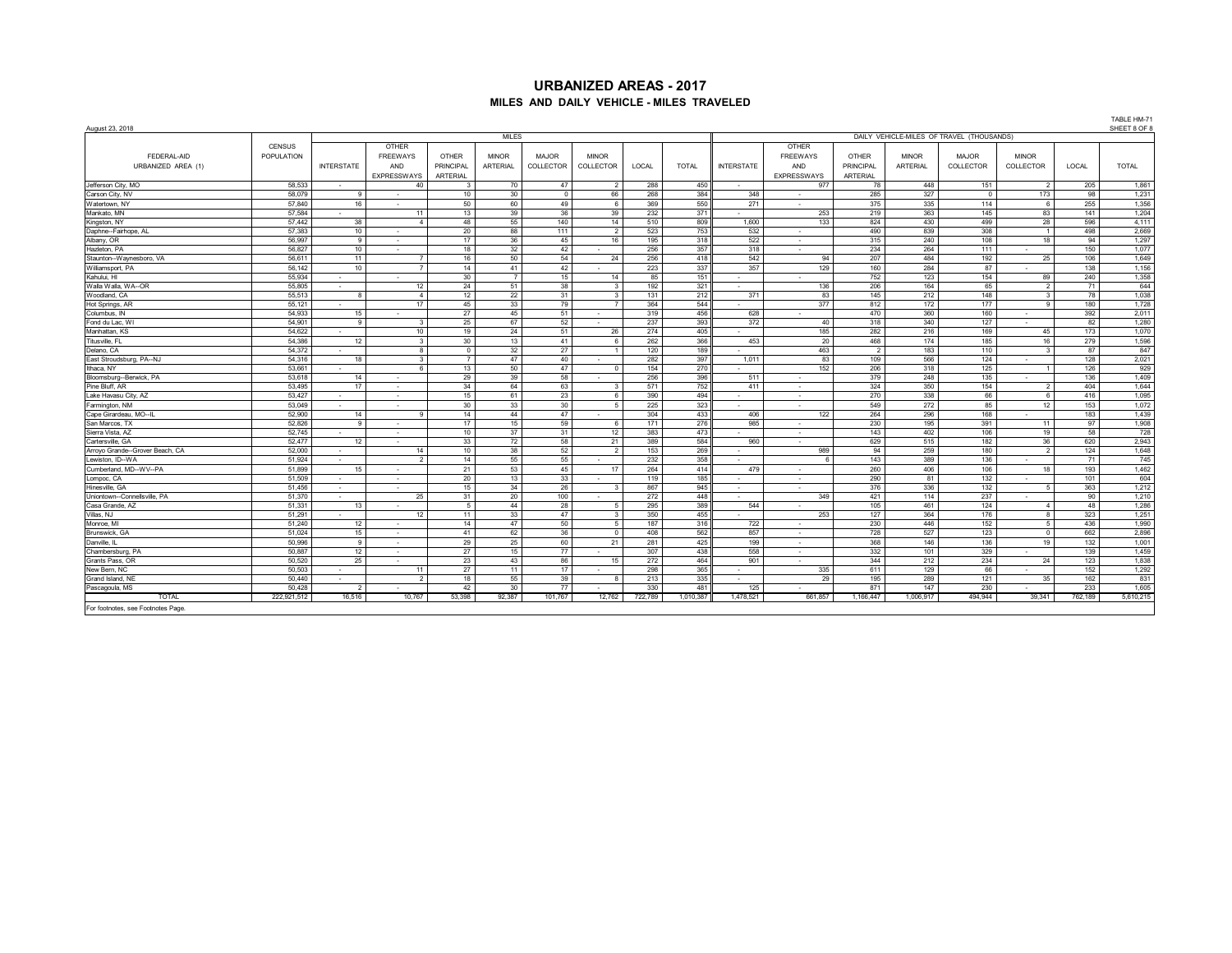# **URBANIZED AREAS - 2017 MILES AND DAILY VEHICLE - MILES TRAVELED**

| August 23, 2018                 |               |                   |                          |                 |                 |           |                          |         |                                           |                   |                    |                |              |              |                          |         | SHEET 8 OF 8 |  |  |  |
|---------------------------------|---------------|-------------------|--------------------------|-----------------|-----------------|-----------|--------------------------|---------|-------------------------------------------|-------------------|--------------------|----------------|--------------|--------------|--------------------------|---------|--------------|--|--|--|
|                                 |               |                   |                          |                 | <b>MILES</b>    |           |                          |         | DAILY VEHICLE-MILES OF TRAVEL (THOUSANDS) |                   |                    |                |              |              |                          |         |              |  |  |  |
|                                 | <b>CENSUS</b> |                   | OTHER                    |                 |                 |           |                          |         |                                           |                   | OTHER              |                |              |              |                          |         |              |  |  |  |
| FEDERAL-AID                     | POPULATION    |                   | <b>FREEWAYS</b>          | OTHER           | <b>MINOR</b>    | MAJOR     | <b>MINOR</b>             |         |                                           |                   | <b>FREEWAYS</b>    | OTHER          | <b>MINOR</b> | <b>MAJOR</b> | <b>MINOR</b>             |         |              |  |  |  |
| URBANIZED AREA (1)              |               | <b>INTERSTATE</b> | AND                      | PRINCIPAL       | <b>ARTERIAL</b> | COLLECTOR | COLLECTOR                | LOCAL   | <b>TOTAL</b>                              | <b>INTERSTATE</b> | AND                | PRINCIPAL      | ARTERIAL     | COLLECTOR    | COLLECTOR                | LOCAL   | <b>TOTAL</b> |  |  |  |
|                                 |               |                   | <b>EXPRESSWAYS</b>       | <b>ARTERIAL</b> |                 |           |                          |         |                                           |                   | <b>EXPRESSWAYS</b> | ARTERIAL       |              |              |                          |         |              |  |  |  |
| Jefferson City, MO              | 58.533        | $\sim$            | 40                       |                 | 70              | 47        |                          | 288     | 450                                       | . .               | 977                | 78             | 448          | 151          | $\overline{2}$           | 205     | 1,861        |  |  |  |
| Carson City, NV                 | 58.079        | 9                 |                          | 10              | 30              | $\Omega$  | 66                       | 268     | 384                                       | 348               |                    | 285            | 327          | $\Omega$     | 173                      | 98      | 1,231        |  |  |  |
| Watertown, NY                   | 57.840        | 16                |                          | 50              | 60              | 49        | - 6                      | 369     | 550                                       | 271               |                    | 375            | 335          | 114          | 6                        | 255     | 1,356        |  |  |  |
| Mankato, MN                     | 57,584        |                   | 11                       | 13              | 39              | 36        | 39                       | 232     | 371                                       |                   | 253                | 219            | 363          | 145          | 83                       | 141     | 1,204        |  |  |  |
| Kingston, NY                    | 57.442        | 38                | $\overline{4}$           | 48              | 55              | 140       | 14                       | 510     | 809                                       | 1,600             | 133                | 824            | 430          | 499          | 28                       | 596     | 4,111        |  |  |  |
| Daphne--Fairhope, AL            | 57.383        | 10                |                          | 20              | 88              | 111       | $\overline{2}$           | 523     | 753                                       | 532               |                    | 490            | 839          | 308          | $\overline{1}$           | 498     | 2.669        |  |  |  |
| Albany, OR                      | 56,997        | 9                 | $\sim$                   | 17              | 36              | 45        | 16                       | 195     | 318                                       | 522               | . .                | 315            | 240          | 108          | 18                       | 94      | 1,297        |  |  |  |
| Hazleton, PA                    | 56,827        | 10                | $\sim$                   | 18              | 32              | 42        | $\sim$                   | 256     | 357                                       | 318               | $\sim$             | 234            | 264          | 111          |                          | 150     | 1.077        |  |  |  |
| Staunton--Wavnesboro, VA        | 56.611        | 11                | $\overline{7}$           | 16              | 50              | 54        | 24                       | 256     | 418                                       | 542               | 94                 | 207            | 484          | 192          | 25                       | 106     | 1.649        |  |  |  |
| Williamsport, PA                | 56.142        | 10                | $\overline{7}$           | 14              | 41              | 42        | $\sim$                   | 223     | 337                                       | 357               | 129                | 160            | 284          | 87           |                          | 138     | 1,156        |  |  |  |
| Kahului, HI                     | 55,934        | $\sim$            |                          | 30              | $\overline{7}$  | 15        | 14                       | 85      | 151                                       | . .               |                    | 752            | 123          | 154          | 89                       | 240     | 1,358        |  |  |  |
| Walla Walla, WA--OR             | 55.805        | $\sim$            | 12                       | 24              | 51              | 38        | $_{3}$                   | 192     | 321                                       | $\sim$            | 136                | 206            | 164          | 65           | $\overline{2}$           | 71      | 644          |  |  |  |
| Woodland, CA                    | 55,513        | 8                 | $\overline{4}$           | 12              | 22              | 31        | 3                        | 131     | 212                                       | 371               | 83                 | 145            | 212          | 148          | 3                        | 78      | 1,038        |  |  |  |
| Hot Springs, AR                 | 55,121        | . .               | 17                       | 45              | 33              | 79        |                          | 364     | 544                                       | $\sim$            | 377                | 812            | 172          | 177          | $\alpha$                 | 180     | 1,728        |  |  |  |
| Columbus, IN                    | 54.933        | 15                |                          | 27              | 45              | 51        | $\sim$                   | 319     | 456                                       | 628               |                    | 470            | 360          | 160          | $\sim$                   | 392     | 2.011        |  |  |  |
| Fond du Lac, WI                 | 54.901        | 9                 | 3                        | 25              | 67              | 52        | $\sim$                   | 237     | 393                                       | 372               | 40                 | 318            | 340          | 127          | ٠                        | 82      | 1,280        |  |  |  |
| Manhattan, KS                   | 54.622        | <b>1979</b>       | 10                       | 19              | 24              | 51        | 26                       | 274     | 405                                       |                   | 185                | 282            | 216          | 169          | 45                       | 173     | 1,070        |  |  |  |
| Titusville, FL                  | 54.386        | 12                | 3                        | 30              | 13              | 41        | - 6                      | 262     | 366                                       | 453               | 20                 | 468            | 174          | 185          | 16                       | 279     | 1,596        |  |  |  |
| Delano, CA                      | 54.372        | $\sim$            | 8                        | $^{\circ}$      | 32              | 27        | $\overline{1}$           | 120     | 189                                       |                   | 463                | $\overline{2}$ | 183          | 110          | 3                        | 87      | 847          |  |  |  |
| East Stroudsburg, PA--NJ        | 54,316        | 18                | 3                        | $\overline{7}$  | 47              | 40        | $\sim$                   | 282     | 397                                       | 1,011             | 83                 | 109            | 566          | 124          |                          | 128     | 2,021        |  |  |  |
| Ithaca, NY                      | 53.661        | . .               | -6                       | 13              | 50              | 47        | $\Omega$                 | 154     | 270                                       |                   | 152                | 206            | 318          | 125          |                          | 126     | 929          |  |  |  |
| Bloomsburg-Berwick, PA          | 53,618        | 14                | $\sim$                   | 29              | 39              | 58        | $\overline{\phantom{a}}$ | 256     | 396                                       | 511               | $\sim$             | 379            | 248          | 135          | ٠                        | 136     | 1,409        |  |  |  |
| Pine Bluff, AR                  | 53.495        | 17                | $\sim$                   | 34              | 64              | 63        | -3                       | 571     | 752                                       | 411               | - 11               | 324            | 350          | 154          | $\overline{2}$           | 404     | 1.644        |  |  |  |
| Lake Havasu City, AZ            | 53.427        | $\sim$            | . .                      | 15              | 61              | 23        | -6                       | 390     | 494                                       | <b>1979</b>       | $\sim$             | 270            | 338          | 66           | 6                        | 416     | 1,095        |  |  |  |
| Farmington, NM                  | 53.049        | $\sim$            | $\sim$                   | 30              | 33              | 30        | 5                        | 225     | 323                                       |                   | $\sim$             | 549            | 272          | 85           | 12                       | 153     | 1.072        |  |  |  |
| Cape Girardeau, MO--IL          | 52,900        | 14                | 9                        | 14              | 44              | 47        | $\sim$                   | 304     | 433                                       | 406               | 122                | 264            | 296          | 168          | $\overline{\phantom{a}}$ | 183     | 1,439        |  |  |  |
| San Marcos, TX                  | 52,826        | $\alpha$          | л.                       | 17              | 15              | 59        | -6                       | 171     | 276                                       | 985               | . .                | 230            | 195          | 391          | 11                       | 97      | 1.908        |  |  |  |
| Sierra Vista, AZ                | 52.745        | ٠                 | $\sim$                   | 10              | 37              | 31        | 12                       | 383     | 473                                       |                   |                    | 143            | 402          | 106          | 19                       | 58      | 728          |  |  |  |
| Cartersville, GA                | 52.477        | 12                | $\overline{\phantom{a}}$ | 33              | 72              | 58        | 21                       | 389     | 584                                       | 960               | $\sim$             | 629            | 515          | 182          | 36                       | 620     | 2,943        |  |  |  |
| Arrovo Grande--Grover Beach, CA | 52.000        | $\sim$            | 14                       | 10              | 38              | 52        | $\overline{2}$           | 153     | 269                                       |                   | 989                | 94             | 259          | 180          | $\overline{2}$           | 124     | 1.648        |  |  |  |
| Lewiston, ID-WA                 | 51.924        | . .               | $\overline{2}$           | 14              | 55              | 55        | <b>1979</b>              | 232     | 358                                       | . .               | ĥ                  | 143            | 389          | 136          |                          | 71      | 745          |  |  |  |
| Cumberland, MD--WV--PA          | 51.899        | 15                |                          | 21              | 53              | 45        | 17                       | 264     | 414                                       | 479               |                    | 260            | 406          | 106          | 18                       | 193     | 1.462        |  |  |  |
| Lompoc, CA                      | 51,509        | $\sim$            | $\sim$                   | 20              | 13              | 33        | <b>1979</b>              | 119     | 185                                       | <b>1979</b>       | $\sim$             | 290            | 81           | 132          | $\sim$                   | 101     | 604          |  |  |  |
| Hinesville, GA                  | 51.456        | $\sim$            | $\sim$                   | 15              | 34              | 26        | 3                        | 867     | 945                                       | . .               | . .                | 376            | 336          | 132          | 5                        | 363     | 1,212        |  |  |  |
| Uniontown--Connellsville, PA    | 51,370        | $\sim$            | 25                       | 31              | 20              | 100       |                          | 272     | 448                                       |                   | 349                | 421            | 114          | 237          |                          | 90      | 1,210        |  |  |  |
| Casa Grande, AZ                 | 51.331        | 13                |                          | 5               | 44              | 28        | 5                        | 295     | 389                                       | 544               |                    | 105            | 461          | 124          | $\overline{4}$           | 48      | 1,286        |  |  |  |
| Villas, NJ                      | 51.291        | $\sim$            | 12                       | 11              | 33              | 47        | $\mathbf{3}$             | 350     | 455                                       |                   | 253                | 127            | 364          | 176          | 8                        | 323     | 1.251        |  |  |  |
| Monroe, MI                      | 51,240        | 12                | $\sim$                   | 14              | 47              | 50        | -5                       | 187     | 316                                       | 722               | $\sim$             | 230            | 446          | 152          | 5                        | 436     | 1,990        |  |  |  |
| Brunswick, GA                   | 51.024        | 15                | $\sim$                   | 41              | 62              | 36        | $\overline{0}$           | 408     | 562                                       | 857               | $\sim$             | 728            | 527          | 123          | $\Omega$                 | 662     | 2.896        |  |  |  |
| Danville, IL                    | 50.996        | 9                 | $\sim$                   | 29              | 25              | 60        | 21                       | 281     | 425                                       | 199               | $\sim$             | 368            | 146          | 136          | 19                       | 132     | 1,001        |  |  |  |
| Chambersburg, PA                | 50.887        | 12                | $\sim$                   | 27              | 15              | 77        | $\sim$                   | 307     | 438                                       | 558               | . .                | 332            | 101          | 329          |                          | 139     | 1.459        |  |  |  |
| Grants Pass, OR                 | 50.520        | 25                | ٠                        | 23              | 43              | 86        | 15                       | 272     | 464                                       | 901               |                    | 344            | 212          | 234          | 24                       | 123     | 1,838        |  |  |  |
| New Bern, NC                    | 50.503        |                   | 11                       | 27              | 11              | 17        |                          | 298     | 365                                       |                   | 335                | 611            | 129          | 66           |                          | 152     | 1,292        |  |  |  |
| Grand Island, NE                | 50.440        | $\sim$            | $\overline{2}$           | 18              | 55              | 39        | $\mathbf{R}$             | 213     | 335                                       | $\sim$            | 29                 | 195            | 289          | 121          | 35                       | 162     | 831          |  |  |  |
| Pascagoula, MS                  | 50.428        | $\overline{2}$    |                          | 42              | 30              | 77        |                          | 330     | 481                                       | 125               |                    | 871            | 147          | 230          |                          | 233     | 1,605        |  |  |  |
| <b>TOTAL</b>                    | 222.921.512   | 16.516            | 10.767                   | 53.398          | 92.387          | 101.767   | 12.762                   | 722.789 | 1.010.387                                 | 1.478.521         | 661.857            | 1.166.447      | 1.006.917    | 494.944      | 39.341                   | 762.189 | 5.610.215    |  |  |  |

For footnotes, see Footnotes Page.